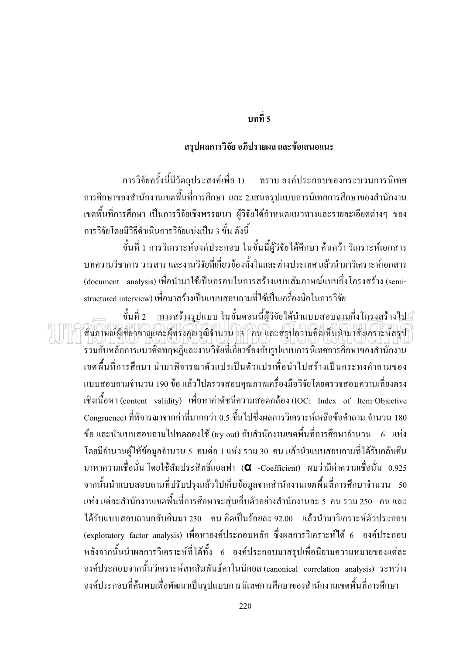## บทที่ 5

### สรุปผลการวิจัย อภิปรายผล และข้อเสนอแนะ

ึการวิจัยครั้งนี้มีวัตถุประสงค์เพื่อ 1) ทราบ องค์ประกอบของกระบวนการนิเทศ ิการศึกษาของสำนักงานเขตพื้นที่การศึกษา และ 2.เสนอรูปแบบการนิเทศการศึกษาของสำนักงาน ้เขตพื้นที่การศึกษา เป็นการวิจัยเชิงพรรณนา ผู้วิจัยได้กำหนดแนวทางและรายละเอียดต่างๆ ของ ้การวิจัยโดยมีวิธีดำเนินการวิจัยแบ่งเป็น 3 ขั้น ดังนี้

์ ขั้นที่ 1 การวิเคราะห์องค์ประกอบ ในขั้นนี้ผู้วิจัยได้ศึกษา ค้นคว้า วิเคราะห์เอกสาร ี บทความวิชาการ วารสาร และงานวิจัยที่เกี่ยวข้องทั้งในและต่างประเทศ แล้วนำมาวิเคราะห์เอกสาร (document analysis) เพื่อนำมาใช้เป็นกรอบในการสร้างแบบสัมภาษณ์แบบกึ่งโครงสร้าง (semistructured interview) เพื่อมาสร้างเป็นแบบสอบถามที่ใช้เป็นเครื่องมือในการวิจัย

สินภาษณ์ผู้เชี่ยวชาญและผู้ทรงคุณวุฒิจำนวน 13 คน และสรุปความคิดเห็นนำมาสังเคราะห์สรุป

รวมกับหลักการแนวคิดทฤษฎีและงานวิจัยที่เกี่ยวข้องกับรูปแบบการนิเทศการศึกษาของสำนักงาน ้เขตพื้นที่การศึกษา นำมาพิจารณาตัวแปรเป็นตัวแปรเพื่อนำไปสร้างเป็นกระทงคำถามของ แบบสอบถามจำนวน 190 ข้อ แล้วไปตรวจสอบคุณภาพเครื่องมือวิจัยโดยตรวจสอบความเที่ยงตรง เชิงเนื้อหา (content validity) เพื่อหาค่าดัชนีความสอดคล้อง (IOC: Index of Item-Objective Congruence) ที่พิจารณาจากค่าที่มากกว่า 0.5 ขึ้นไปซึ่งผลการวิเคราะห์เหลือข้อคำถาม จำนวน 180 ข้อ และนำแบบสอบถามไปทดลองใช้ (try out) กับสำนักงานเขตพื้นที่การศึกษาจำนวน 6 แห่ง โดยมีจำนวนผู้ให้ข้อมูลจำนวน 5 คนต่อ 1 แห่ง รวม 30 คน แล้วนำแบบสอบถามที่ได้รับกลับคืน มาหาความเชื่อมั่น โดยใช้สัมประสิทธิ์แอลฟา (**a** -Coefficient) พบว่ามีค่าความเชื่อมั่น 0.925 ี จากนั้นนำแบบสอบถามที่ปรับปรุงแล้วไปเก็บข้อมูลจากสำนักงานเขตพื้นที่การศึกษาจำนวน 50 แห่ง แต่ละสำนักงานเขตพื้นที่การศึกษาจะสุ่มเก็บตัวอย่างสำนักงานละ 5 คน รวม 250 คน และ ได้รับแบบสอบถามกลับคืนมา 230 คน คิดเป็นร้อยละ 92.00 แล้วนำมาวิเคราะห์ตัวประกอบ (exploratory factor analysis) เพื่อหาองค์ประกอบหลัก ซึ่งผลการวิเคราะห์ได้ 6 องค์ประกอบ หลังจากนั้นนำผลการวิเคราะห์ที่ได้ทั้ง 6 องค์ประกอบมาสรุปเพื่อนิยามความหมายของแต่ละ องค์ประกอบจากนั้นวิเคราะห์สหสัมพันธ์คาโนนิคอล (canonical correlation analysis) ระหว่าง ้องค์ประกอบที่ค้นพบเพื่อพัฒนาเป็นรูปแบบการนิเทศการศึกษาของสำนักงานเขตพื้นที่การศึกษา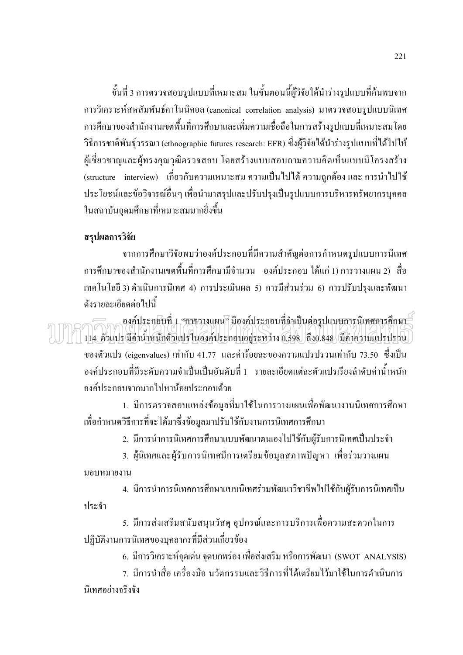ขั้นที่ 3 การตรวจสอบรูปแบบที่เหมาะสม ในขั้นตอนนี้ผู้วิจัยได้นำร่างรูปแบบที่ค้นพบจาก การวิเคราะห์สหสัมพันธ์คาโนนิคอล (canonical correlation analysis) มาตรวจสอบรูปแบบนิเทศ การศึกษาของสำนักงานเขตพื้นที่การศึกษาและเพิ่มความเชื่อถือในการสร้างรูปแบบที่เหมาะสมโดย วิธีการชาติพันธุ์วรรณา (ethnographic futures research: EFR) ซึ่งผู้วิจัยได้นำร่างรูปแบบที่ได้ไปให้ ผู้เชี่ยวชาญและผู้ทรงคุณวุฒิตรวจสอบ โดยสร้างแบบสอบถามความคิดเห็นแบบมีโครงสร้าง (structure interview) เกี่ยวกับความเหมาะสม ความเป็นไปได้ ความถูกต้อง และ การนำไปใช้ ประโยชน์และข้อวิจารณ์อื่นๆ เพื่อนำมาสรุปและปรับปรุงเป็นรูปแบบการบริหารทรัพยากรบุคคล ในสถาบันอุดมศึกษาที่เหมาะสมมากยิ่งขึ้น

#### สรุปผลการวิจัย

จากการศึกษาวิจัยพบว่าองค์ประกอบที่มีความสำคัญต่อการกำหนดรูปแบบการนิเทศ ึการศึกษาของสำนักงานเขตพื้นที่การศึกษามีจำนวน องค์ประกอบ ได้แก่ 1) การวางแผน 2) สื่อ เทคโนโลยี 3) ดำเนินการนิเทศ 4) การประเมินผล 5) การมีส่วนร่วม 6) การปรับปรุงและพัฒนา ดังรายละเอียดต่อไปบึ

องค์ประกอบที่ 1. <del>การ</del>วางแผน<mark>ฯ มีองค์ประกอบที่จำเป็นต่อรูปแบบการนิเทศการศึกษา -</mark> 114 ตัวแปร มีค่าน้ำหนักตัวแปรในองค์ประกอบอยู่ระหว่าง 0.598 ถึง0.848 มีค่าความแปรปรวน ของตัวแปร (eigenvalues) เท่ากับ 41.77 และค่าร้อยละของความแปรปรวนเท่ากับ 73.50 ซึ่งเป็น ้องค์ประกอบที่มีระดับความจำเป็นเป็นอันดับที่ 1 รายละเอียดแต่ละตัวแปรเรียงลำดับค่าน้ำหนัก องค์ประกอบจากมากไปหาน้อยประกอบด้วย

1. มีการตรวจสอบแหล่งข้อมูลที่มาใช้ในการวางแผนเพื่อพัฒนางานนิเทศการศึกษา เพื่อกำหนดวิธีการที่จะได้มาซึ่งข้อมูลมาปรับใช้กับงานการนิเทศการศึกษา

่ 2. มีการนำการนิเทศการศึกษาแบบพัฒนาตนเองไปใช้กับผู้รับการนิเทศเป็นประจำ

่ 3. ผู้นิเทศและผู้รับการนิเทศมีการเตรียมข้อมูลสภาพปัญหา เพื่อร่วมวางแผน มอบหมายงาน

4. มีการนำการนิเทศการศึกษาแบบนิเทศร่วมพัฒนาวิชาชีพไปใช้กับผู้รับการนิเทศเป็น ประจำ

5. มีการส่งเสริมสนับสนุนวัสดุ อุปกรณ์และการบริการเพื่อความสะดวกในการ ปฏิบัติงานการนิเทศของบุคลากรที่มีส่วนเกี่ยวข้อง

6. มีการวิเคราะห์จุดเด่น จุดบกพร่อง เพื่อส่งเสริม หรือการพัฒนา (SWOT ANALYSIS)

่ 7. มีการนำสื่อ เครื่องมือ นวัตกรรมและวิธีการที่ได้เตรียมไว้มาใช้ในการดำเนินการ นิเทศกย่างจริงจัง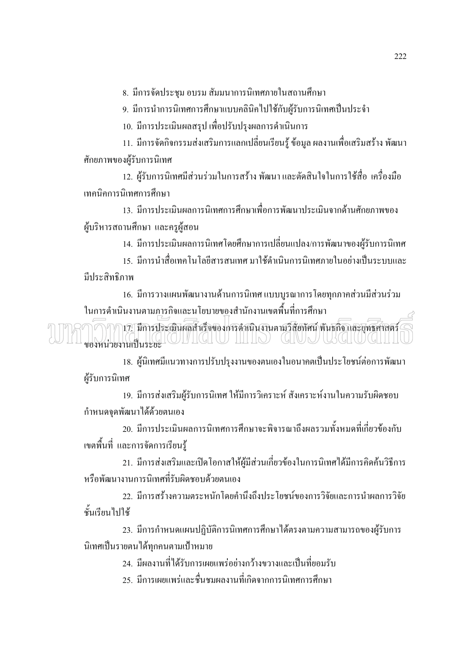8. มีการจัดประชุม อบรม สัมมนาการนิเทศภายในสถานศึกษา

9. มีการนำการนิเทศการศึกษาแบบคลินิคไปใช้กับผู้รับการนิเทศเป็นประจำ

10. มีการประเมินผลสรุป เพื่อปรับปรุงผลการคำเนินการ

11. มีการจัดกิจกรรมส่งเสริมการแลกเปลี่ยนเรียนรู้ ข้อมูล ผลงานเพื่อเสริมสร้าง พัฒนา ศักยภาพของผู้รับการนิเทศ

12. ผู้รับการนิเทศมีส่วนร่วมในการสร้าง พัฒนา และตัดสินใจในการใช้สื่อ เครื่องมือ เทคนิคการนิเทศการศึกษา

13. มีการประเมินผลการนิเทศการศึกษาเพื่อการพัฒนาประเมินจากด้านศักยภาพของ ผู้บริหารสถานศึกษา และครูผู้สอน

14. มีการประเมินผลการนิเทศโดยศึกษาการเปลี่ยนแปลง/การพัฒนาของผู้รับการนิเทศ

15. มีการนำสื่อเทคโนโลยีสารสนเทศ มาใช้ดำเนินการนิเทศภายในอย่างเป็นระบบและ มีประสิทธิภาพ

16. มีการวางแผนพัฒนางานด้านการนิเทศ แบบบูรณาการโดยทุกภาคส่วนมีส่วนร่วม ในการคำเนินงานตามภารกิจและนโยบายของสำนักงานเขตพื้นที่การศึกษา

17. มีการประเมินผลสำเร็จของการดำเนินงานตามวิสัยทัศน์ พันธกิจ และยุทธศาลตร์ VONTAIN AND CHARGE CONTROL CONTROL CONTROLLED AND CONTROLLED AND CONTROLLED AND CONTROLLED AND CONTROLLED AND CONTROLLED AND CONTROLLED AND CONTROLLED AND CONTROLLED AND CONTROLLED AND CONTROLLED AND CONTROLLED AND CONTROL

18. ผู้นิเทศมีแนวทางการปรับปรุงงานของตนเองในอนาคตเป็นประโยชน์ต่อการพัฒนา ผู้รับการนิเทศ

19. มีการส่งเสริมผู้รับการนิเทศ ให้มีการวิเคราะห์ สังเคราะห์งานในความรับผิดชอบ กำหนดจุดพัฒนาได้ด้วยตนเอง

20. มีการประเมินผลการนิเทศการศึกษาจะพิจารณาถึงผลรวมทั้งหมดที่เกี่ยวข้องกับ เขตพื้นที่ และการจัดการเรียนรู้

่ 21. มีการส่งเสริมและเปิดโอกาสให้ผู้มีส่วนเกี่ยวข้องในการนิเทศได้มีการคิดค้นวิธีการ หรือพัฒนางานการนิเทศที่รับผิดชอบด้วยตนเอง

22. มีการสร้างความตระหนักโดยคำนึงถึงประโยชน์ของการวิจัยและการนำผลการวิจัย ชั้นเรียนไปใช้

23. มีการกำหนดแผนปฏิบัติการนิเทศการศึกษาได้ตรงตามความสามารถของผู้รับการ นิเทศเป็นรายตนได้ทุกคนตามเป้าหมาย

่ 24. มีผลงานที่ได้รับการเผยแพร่อย่างกว้างขวางและเป็นที่ยอมรับ

่ 25. มีการเผยแพร่และชื่นชมผลงานที่เกิดจากการนิเทศการศึกษา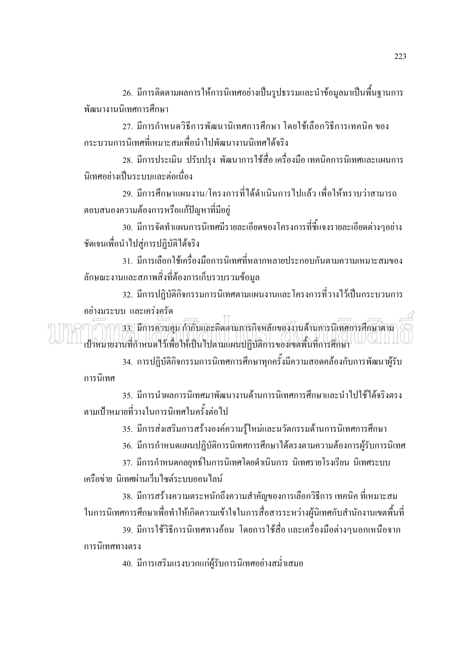่ 26. มีการติดตามผลการให้การนิเทศอย่างเป็นรูปธรรมและนำข้อมูลมาเป็นพื้นฐานการ พัฒนางานนิเทศการศึกษา

27. มีการกำหนดวิธีการพัฒนานิเทศการศึกษา โดยใช้เลือกวิธีการเทคนิค ของ ้กระบวนการนิเทศที่เหมาะสมเพื่อนำไปพัฒนางานนิเทศได้จริง

่ 28. มีการประเมิน ปรับปรุง พัฒนาการใช้สื่อ เครื่องมือ เทคนิคการนิเทศและแผนการ นิเทศอย่างเป็นระบบและต่อเนื่อง

29. มีการศึกษาแผนงาน/โครงการที่ได้ดำเนินการไปแล้ว เพื่อให้ทราบว่าสามารถ ตอบสนองความต้องการหรือแก้ปัญหาที่มีอยู่

่ 30. มีการจัดทำแผนการนิเทศมีรายละเอียดของโครงการที่ชี้แจงรายละเอียดต่างๆอย่าง ชัดเจนเพื่อนำไปสู่การปฏิบัติได้จริง

31. มีการเลือกใช้เครื่องมือการนิเทศที่หลากหลายประกอบกันตามความเหมาะสมของ ลักษณะงานและสภาพสิ่งที่ต้องการเก็บรวบรวมข้อมล

่ 32. มีการปฏิบัติกิจกรรมการนิเทศตามแผนงานและโครงการที่วางไว้เป็นกระบวนการ อย่างมระบบ และเคร่งครัด

33. มีการควบคุม กำกับและติดตามการกิจหลักของงานด้านการนิเทศการศึกษาตาม เป้าหมายงานที่กำหนดไว้เพื่อให้เป็นไปตามแผนปฏิบัติการของเขตพื้นที่การศึกษา

34. การปฏิบัติกิจกรรมการนิเทศการศึกษาทุกครั้งมีความสอดคล้องกับการพัฒนาผู้รับ การนิเทศ

35. มีการนำผลการนิเทศมาพัฒนางานด้านการนิเทศการศึกษาและนำไปใช้ได้จริงตรง ตามเป้าหมายที่วางในการนิเทศในครั้งต่อไป

35. มีการส่งเสริมการสร้างองค์ความรู้ใหม่และนวัตกรรมด้านการนิเทศการศึกษา

36. มีการกำหนดแผนปฏิบัติการนิเทศการศึกษาได้ตรงตามความต้องการผู้รับการนิเทศ

37. มีการกำหนดกลยทธ์ในการนิเทศโดยดำเนินการ นิเทศรายโรงเรียน นิเทศระบบ เครือข่าย นิเทศผ่านเว็บไซต์ระบบออนไลน์

38. มีการสร้างความตระหนักถึงความสำคัญของการเลือกวิธีการ เทคนิค ที่เหมาะสม ในการนิเทศการศึกษาเพื่อทำให้เกิดความเข้าใจในการสื่อสารระหว่างผู้นิเทศกับสำนักงานเขตพื้นที่

39. มีการใช้วิธีการนิเทศทางอ้อม โดยการใช้สื่อและเครื่องมือต่างๆนอกเหนือจาก การบิเทศทางตรง

40. มีการเสริมแรงบวกแก่ผู้รับการนิเทศอย่างสม่ำเสมอ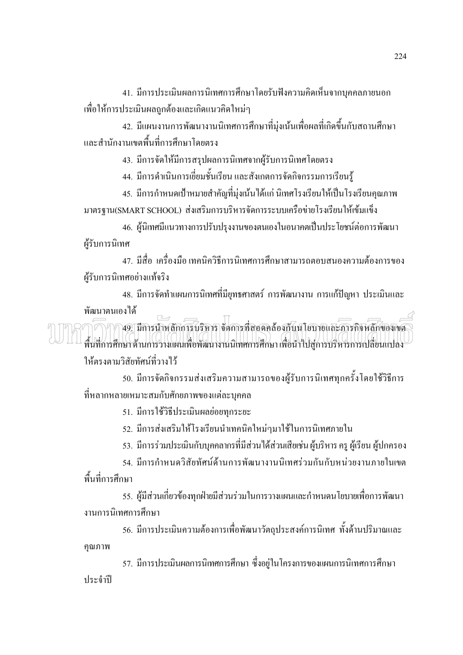41. มีการประเมินผลการนิเทศการศึกษาโดยรับฟังความคิดเห็นจากบุคคลภายนอก ้ เพื่อให้การประเมินผลถูกต้องและเกิดแนวคิดใหม่ๆ

42. มีแผนงานการพัฒนางานนิเทศการศึกษาที่มุ่งเน้นเพื่อผลที่เกิดขึ้นกับสถานศึกษา และสำนักงานเขตพื้นที่การศึกษาโดยตรง

43. มีการจัดให้มีการสรุปผลการนิเทศจากผู้รับการนิเทศโดยตรง

44. มีการคำเนินการเยี่ยมชั้นเรียน และสังเกตการจัดกิจกรรมการเรียนรู้

45. มีการกำหนดเป้าหมายสำคัญที่มุ่งเน้นได้แก่ นิเทศโรงเรียนให้เป็นโรงเรียนคุณภาพ มาตรฐาน(SMART SCHOOL) ส่งเสริมการบริหารจัดการระบบเครือข่ายโรงเรียนให้เข้มแข็ง

46. ผู้นิเทศมีแนวทางการปรับปรุงงานของตนเองในอนาคตเป็นประโยชน์ต่อการพัฒนา ผู้รับการนิเทศ

47. มีสื่อ เครื่องมือ เทคนิควิธีการนิเทศการศึกษาสามารถตอบสนองความต้องการของ ผู้รับการนิเทศอย่างแท้จริง

่ 48. มีการจัดทำแผนการนิเทศที่มียุทธศาสตร์ การพัฒนางาน การแก้ปัญหา ประเมินและ พัฒนาตนเองได้

.<br>49. มีการนำหลักการบริหาร จัดการที่สอดคล้องกับนโยบายและภารกิจหลักของเขต **IMM** พื้นที่การศึกษาด้านการวางแผนเพื่อพัฒนางานนิเทศการศึกษา เพื่อนำไปสู่การบริหารการเปลี่ยนแปลง ให้ตรงตามวิสัยทัศน์ที่วางไว้

50. มีการจัดกิจกรรมส่งเสริมความสามารถของผู้รับการนิเทศทุกครั้งโดยใช้วิธีการ ที่หลากหลายเหมาะสมกับศักยภาพของแต่ละบุคคล

51. มีการใช้วิธีประเมินผลย่อยทุกระยะ

52. มีการส่งเสริมให้โรงเรียนนำเทคนิคใหม่ๆมาใช้ในการนิเทศภายใน

่ 53. มีการร่วมประเมินกับบุคคลากรที่มีส่วนได้ส่วนเสียเช่น ผู้บริหาร ครุ ผู้เรียน ผู้ปกครอง

54. มีการกำหนดวิสัยทัศน์ด้านการพัฒนางานนิเทศร่วมกันกับหน่วยงานภายในเขต พื้นที่การศึกษา

55. ผู้มีส่วนเกี่ยวข้องทุกฝ่ายมีส่วนร่วมในการวางแผนและกำหนดนโยบายเพื่อการพัฒนา งานการนิเทศการศึกษา

56. มีการประเมินความต้องการเพื่อพัฒนาวัตถุประสงค์การนิเทศ ทั้งด้านปริมาณและ คุณภาพ

57. มีการประเมินผลการนิเทศการศึกษา ซึ่งอยู่ในโครงการของแผนการนิเทศการศึกษา ประจำปี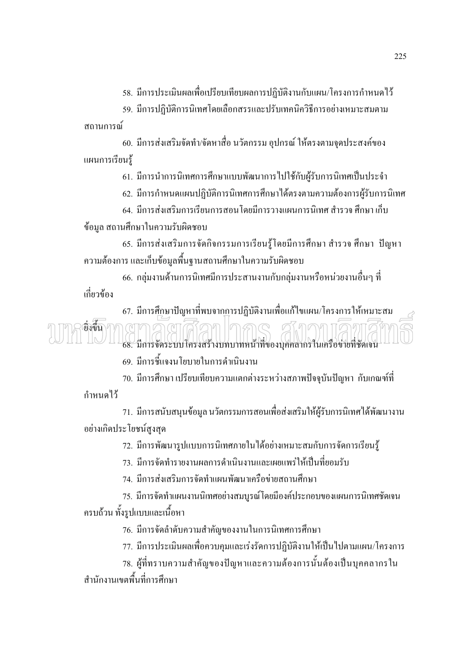58. มีการประเมินผลเพื่อเปรียบเทียบผลการปฏิบัติงานกับแผน/โครงการกำหนดไว้

59. มีการปฏิบัติการนิเทศโดยเลือกสรรและปรับเทคนิควิธีการอย่างเหมาะสมตาม ิสถานการณ์

60. มีการส่งเสริมจัดทำ/จัดหาสื่อ นวัตกรรม อุปกรณ์ ให้ตรงตามจุดประสงค์ของ แผนการเรียนร้

61. มีการนำการนิเทศการศึกษาแบบพัฒนาการไปใช้กับผู้รับการนิเทศเป็นประจำ

62. มีการกำหนดแผนปฏิบัติการนิเทศการศึกษาได้ตรงตามความต้องการผู้รับการนิเทศ

64. มีการส่งเสริมการเรียนการสอนโดยมีการวางแผนการนิเทศ สำรวจ ศึกษา เก็บ ข้อมูล สถานศึกษาในความรับผิดชอบ

65. มีการส่งเสริมการจัดกิจกรรมการเรียนรู้โดยมีการศึกษา สำรวจ ศึกษา ปัญหา ้ความต้องการ และเก็บข้อมูลพื้นฐานสถานศึกษาในความรับผิดชอบ

่ 66. กล่มงานด้านการนิเทศมีการประสานงานกับกล่มงานหรือหน่วยงานอื่นๆ ที่ ้เกี่ยวข้อง

67. มีการศึกษาปัญหาที่พบจากการปฏิบัติงานเพื่อแก้ไขแผน/โครงการให้เหมาะสม ยิ่งขึ้า 68. มีการจัดระบบโครงสร้างบทบาทหน้าที่ของบุคคลากรในเครือข่ายที่ชัดเจน

69. มีการชี้แจงนโยบายในการคำเนินงาน

70. มีการศึกษาเปรียบเทียบความแตกต่างระหว่างสภาพปัจจุบันปัญหา กับเกณฑ์ที่

กำหนดไว้

่ 71. มีการสนับสนุนข้อมูล นวัตกรรมการสอนเพื่อส่งเสริมให้ผู้รับการนิเทศได้พัฒนางาน อย่างเกิดประโยชน์สูงสุด

72. มีการพัฒนารูปแบบการนิเทศภายในได้อย่างเหมาะสมกับการจัดการเรียนรู้

่ 73. มีการจัดทำรายงานผลการดำเนินงานและเผยแพร่ให้เป็นที่ยอมรับ

74. มีการส่งเสริมการจัดทำแผนพัฒนาเครือข่ายสถานศึกษา

75. มีการจัดทำแผนงานนิเทศอย่างสมบูรณ์โดยมีองค์ประกอบของแผนการนิเทศชัดเจน ครบถ้วน ทั้งรูปแบบและเนื้อหา

76. มีการจัดลำดับความสำคัญของงานในการนิเทศการศึกษา

77. มีการประเมินผลเพื่อควบคุมและเร่งรัดการปฏิบัติงานให้เป็นไปตามแผน/โครงการ

78. ผู้ที่ทราบความสำคัญของปัญหาและความต้องการนั้นต้องเป็นบุคคลากรใน ้<br>สำนักงานเขตพื้นที่การศึก*ง*า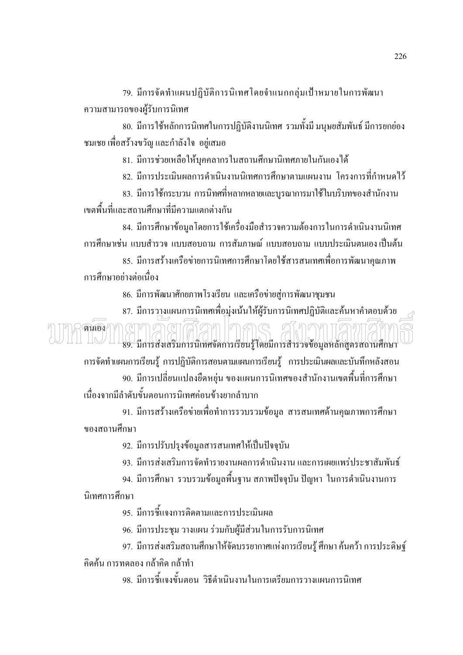79. มีการจัดทำแผนปฏิบัติการนิเทศโดยจำแนกกลุ่มเป้าหมายในการพัฒนา ความสามารถของผู้รับการนิเทศ

่ 80. มีการใช้หลักการนิเทศในการปฏิบัติงานนิเทศ รวมทั้งมี มนุษยสัมพันธ์ มีการยกย่อง ึชมเชย เพื่อสร้างขวัญ และกำลังใจ อยู่เสมอ

่ 81. มีการช่วยเหลือให้บคคลากรในสถานศึกษานิเทศภายในกันเองได้

82. มีการประเมินผลการดำเนินงานนิเทศการศึกษาตามแผนงาน โครงการที่กำหนดไว้

่ 83. มีการใช้กระบวน การนิทศที่หลากหลายและบูรณาการมาใช้ในบริบทของสำนักงาน เขตพื้นที่และสถานศึกษาที่มีความแตกต่างกัน

่ 84. มีการศึกษาข้อมูลโดยการใช้เครื่องมือสำรวจความต้องการในการดำเนินงานนิเทศ ้การศึกษาเช่น แบบสำรวจ แบบสอบถาม การสัมภาษณ์ แบบสอบถาม แบบประเมินตนเองเป็นต้น

85. มีการสร้างเครือข่ายการนิเทศการศึกษาโดยใช้สารสนเทศเพื่อการพัฒนาคุณภาพ ์ การศึกษาอย่างต่อเนื่อง

86. มีการพัฒนาศักยภาพโรงเรียน และเครือข่ายสู่การพัฒนาชุมชน

่ 87. มีการวางแผนการนิเทศเพื่อมุ่งเน้นให้ผู้รับการนิเทศปฏิบัติและค้นหาคำตอบด้วย ตนเอง 89. มีการส่งเสริมการนิเทศจัดการเรียนรู้ โดยมีการสำรวจข้อมูลหลักสูตรสถานศึกษา

ิการจัดทำแผนการเรียนรู้ การปฏิบัติการสอนตามแผนการเรียนรู้ การประเมินผลและบันทึกหลังสอน

่ 90. มีการเปลี่ยนแปลงยืดหยุ่น ของแผนการนิเทศของสำนักงานเขตพื้นที่การศึกษา เนื่องจากมีลำดับขั้นตอนการนิเทศก่อนข้างยากลำบาก

91. มีการสร้างเครือข่ายเพื่อทำการรวบรวมข้อมูล สารสนเทศด้านคุณภาพการศึกษา ขคงสถานศึกษา

92. มีการปรับปรุงข้อมูลสารสนเทศให้เป็นปัจจุบัน

่ 93. มีการส่งเสริมการจัดทำรายงานผลการคำเนินงาน และการเผยแพร่ประชาสัมพันธ์

่ 94. มีการศึกษา รวบรวมข้อมูลพื้นฐาน สภาพปัจจุบัน ปัญหา ในการดำเนินงานการ นิเทศการศึกษา

่ 95. มีการชี้แจงการติดตามและการประเมินผล

96. มีการประชุม วางแผน ร่วมกับผู้มีส่วนในการรับการนิเทศ

97. มีการส่งเสริมสถานศึกษาให้จัดบรรยากาศแห่งการเรียนรู้ ศึกษา ค้นคว้า การประดิษฐ์ ้คิดค้น การทดลอง กล้าคิด กล้าทำ

98. มีการชี้แจงขั้นตอน วิธีดำเนินงานในการเตรียมการวางแผนการนิเทศ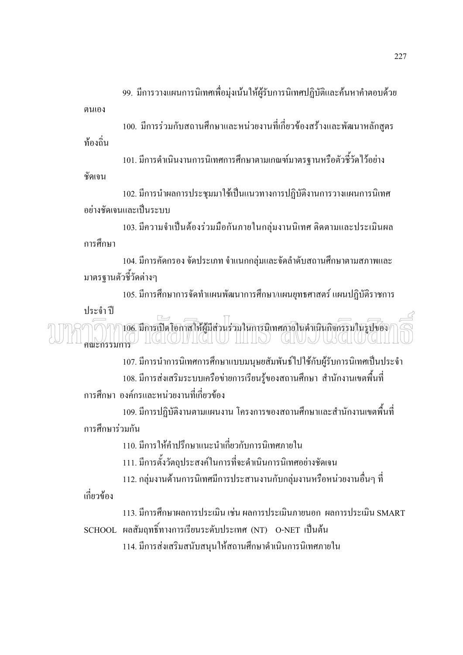่ 99. มีการวางแผนการนิเทศเพื่อมุ่งเน้นให้ผู้รับการนิเทศปฏิบัติและค้นหาคำตอบด้วย ตนเคง

100. มีการร่วมกับสถานศึกษาและหน่วยงานที่เกี่ยวข้องสร้างและพัฒนาหลักสูตร ท้องถิ่น

101. มีการดำเนินงานการนิเทศการศึกษาตามเกณฑ์มาตรฐานหรือตัวชี้วัดไว้อย่าง ชัดเจน

102. มีการนำผลการประชุมมาใช้เป็นแนวทางการปฏิบัติงานการวางแผนการนิเทศ อย่างชัดเจนและเป็นระบบ

103. มีความจำเป็นต้องร่วมมือกันภายในกลุ่มงานนิเทศ ติดตามและประเมินผล การศึกษา

104. มีการคัดกรอง จัดประเภท จำแนกกลุ่มและจัดลำดับสถานศึกษาตามสภาพและ มาตรฐานตัวชี้วัดต่างๆ

105. มีการศึกษาการจัดทำแผนพัฒนาการศึกษา/แผนยุทธศาสตร์ แผนปฏิบัติราชการ

ประจำปี

้<br>106. มีการเปิดโอกาสให้ผู้มีส่วนร่วมในการนิเทศภายในดำเนินกิจกรรมในรูปของ คณะกรรมการ  $\frac{1}{2}$  (George Central Central Central Central Central Central Central Central Central Central Central Central Central Central Central Central Central Central Central Central Central Central Central Central Central Cen

107. มีการนำการนิเทศการศึกษาแบบมนุษยสัมพันธ์ไปใช้กับผู้รับการนิเทศเป็นประจำ 108. มีการส่งเสริมระบบเครือข่ายการเรียนรู้ของสถานศึกษา สำนักงานเขตพื้นที่ ึการศึกษา องค์กรและหน่วยงานที่เกี่ยวข้อง

109. มีการปฏิบัติงานตามแผนงาน โครงการของสถานศึกษาและสำนักงานเขตพื้นที่ การศึกนาร่วมกับ

110 มีการให้คำปรึกษาแนะนำเกี่ยวกับการนิเทศภายใน

111. มีการตั้งวัตถุประสงค์ในการที่จะคำเนินการนิเทศอย่างชัดเจน

112. กลุ่มงานด้านการนิเทศมีการประสานงานกับกลุ่มงานหรือหน่วยงานอื่นๆ ที่

เกี่ยวข้อง

113. มีการศึกษาผลการประเมิน เช่น ผลการประเมินภายนอก ผลการประเมิน SMART SCHOOL ผลสัมฤทธิ์ทางการเรียนระดับประเทศ (NT) O-NET เป็นต้น

114. มีการส่งเสริมสนับสนุนให้สถานศึกษาดำเนินการนิเทศภายใน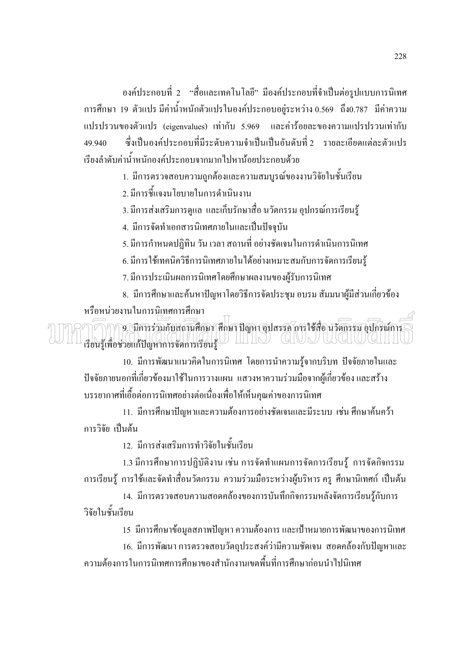้องค์ประกอบที่ 2 "สื่อและเทคโนโลยี" มืองค์ประกอบที่จำเป็นต่อรูปแบบการนิเทศ ิการศึกษา 19 ตัวแปร มีค่าน้ำหนักตัวแปรในองค์ประกอบอยู่ระหว่าง 0.569 ถึง0.787 มีค่าความ แปรปรวนของตัวแปร (eigenvalues) เท่ากับ 5.969 และค่าร้อยละของความแปรปรวนเท่ากับ ่ ซึ่งเป็นองค์ประกอบที่มีระคับความจำเป็นเป็นอันคับที่ 2 รายละเอียดแต่ละตัวแปร 49.940 เรียงลำดับค่าน้ำหนักองค์ประกอบจากมากไปหาน้อยประกอบด้วย

1. มีการตรวจสอบความถูกต้องและความสมบูรณ์ของงานวิจัยในชั้นเรียน

2. มีการชี้แจงนโยบายในการคำเนินงาน

3. มีการส่งเสริมการดูแล และเก็บรักษาสื่อ นวัตกรรม อุปกรณ์การเรียนรู้

4. มีการจัดทำเอกสารนิเทศภายในและเป็นปัจจุบัน

5. มีการกำหนดปฏิทิน วัน เวลา สถานที่ อย่างชัดเจนในการดำเนินการนิเทศ

6. มีการใช้เทคนิควิธีการนิเทศภายในได้อย่างเหมาะสมกับการจัดการเรียนรู้

7. มีการประเมินผลการนิเทศโดยศึกษาผลงานของผู้รับการนิเทศ

่ 8. มีการศึกษาและค้นหาปัญหาโดยวิธีการจัดประชุม อบรม สัมมนาผู้มีส่วนเกี่ยวข้อง หรือหน่วยงานในการนิเทศการศึกษา

9. มีการร่วมกับสถานศึกษา ศึกษา ปัญหา อุปสรรค การใช้สื่อ นวัตกรรม อุปกรณ์การ เรียนรู้เพื่อช่วยแก้ปัญหาการจัดการเรียนรู้ | |||||O (|||UJ||UG||UG|||||

10. มีการพัฒนาแนวคิดในการนิเทศ โดยการนำความรู้จากบริบท ปัจจัยภายในและ ้ปัจจัยภายนอกที่เกี่ยวข้องมาใช้ในการวางแผน แสวงหาความร่วมมือจากผู้เกี่ยวข้อง และสร้าง ิบรรยากาศที่เอื้อต่อการนิเทศอย่างต่อเนื่องเพื่อให้เห็นคุณค่าของการนิเทศ

11. มีการศึกษาปัญหาและความต้องการอย่างชัดเจนและมีระบบ เช่น ศึกษาค้นคว้า การวิจัย เป็นต้น

12. มีการส่งเสริมการทำวิจัยในชั้นเรียน

1.3 มีการศึกษาการปฏิบัติงาน เช่น การจัดทำแผนการจัดการเรียนรู้ การจัดกิจกรรม ึการเรียนรู้ การใช้และจัดทำสื่อนวัตกรรม ความร่วมมือระหว่างผู้บริหาร ครู ศึกษานิเทศก์ เป็นต้น

14. มีการตรวจสอบความสอดคล้องของการบันทึกกิจกรรมหลังจัดการเรียนรู้กับการ วิจัยในชั้นเรียน

15 มีการศึกษาข้อมูลสภาพปัญหา ความต้องการ และเป้าหมายการพัฒนาของการนิเทศ

16. มีการพัฒนา การตรวจสอบวัตถุประสงค์ว่ามีความชัดเจน สอดคล้องกับปัญหาและ ้ ความต้องการในการนิเทศการศึกษาของสำนักงานเขตพื้นที่การศึกษาก่อนนำไปนิเทศ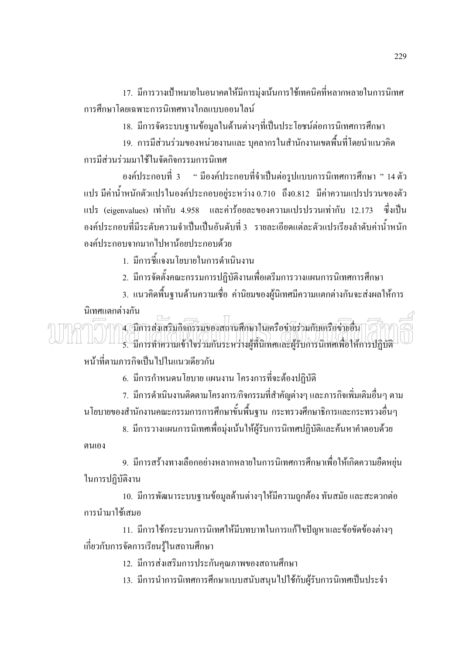17. มีการวางเป้าหมายในอนาคตให้มีการมุ่งเน้นการใช้เทคนิคที่หลากหลายในการนิเทศ ิการศึกษาโดยเฉพาะการนิเทศทางไกลแบบคอนไลน์

18. มีการจัดระบบฐานข้อมูลในด้านต่างๆที่เป็นประโยชน์ต่อการนิเทศการศึกษา

19. การมีส่วนร่วมของหน่วยงานและ บุคลากรในสำนักงานเขตพื้นที่โดยนำแนวคิด การบีส่วนร่วมมาใช้ในจัดกิจกรรมการบิเทศ

้องค์ประกอบที่ 3 " มีองค์ประกอบที่จำเป็นต่อรูปแบบการนิเทศการศึกษา " 14 ตัว แปร มีค่าน้ำหนักตัวแปรในองค์ประกอบอยู่ระหว่าง 0.710 ถึง0.812 มีค่าความแปรปรวนของตัว แปร (eigenvalues) เท่ากับ 4.958 และค่าร้อยละของความแปรปรวนเท่ากับ 12.173 ซึ่งเป็น ้องค์ประกอบที่มีระดับความจำเป็นเป็นอันดับที่ 3 รายละเอียดแต่ละตัวแปรเรียงลำดับค่าน้ำหนัก องค์ประกอบจากบากไปหาน้อยประกอบด้วย

1. มีการชี้แจงนโยบายในการดำเนินงาน

่ 2. มีการจัดตั้งคณะกรรมการปฏิบัติงานเพื่อเตรีมการวางแผนการนิเทศการศึกษา

่ 3. แนวคิดพื้นฐานด้านความเชื่อ ค่านิยมของผู้นิเทศมีความแตกต่างกันจะส่งผลให้การ

นิเทศแตกต่างกัน

4. มีการส่งเสริมกิจกรรมของสถานศึกษาในเครือข่ายร่วมกับเครือข่ายอื่น 5. มีการทำความเข้าใจร่วมกันระหว่างผู้ที่นิเทศและผู้รับการนิเทศเพื่อให้การปฏิบัติ หน้าที่ตามภารกิจเป็นไปในแนวเดียวกัน

6. มีการกำหนดนโยบายแผนงาน โครงการที่จะต้องปฏิบัติ

7. มีการคำเนินงานติดตามโครงการ/กิจกรรมที่สำคัญต่างๆ และภารกิจเพิ่มเติมอื่นๆ ตาม ินโยบายของสำนักงานคณะกรรมการการศึกษาขั้นพื้นฐาน กระทรวงศึกษาธิการและกระทรวงอื่นๆ

8. มีการวางแผนการนิเทศเพื่อมุ่งเน้นให้ผู้รับการนิเทศปฏิบัติและค้นหาคำตอบด้วย ตนเกง

่ 9. มีการสร้างทางเลือกอย่างหลากหลายในการนิเทศการศึกษาเพื่อให้เกิดความยืดหยุ่น ในการปฏิบัติงาน

10. มีการพัฒนาระบบฐานข้อมูลด้านต่างๆให้มีความถูกต้อง ทันสมัย และสะดวกต่อ การนำมาใช้เสมอ

11. มีการใช้กระบวนการนิเทศให้มีบทบาทในการแก้ไขปัญหาและข้อขัดข้องต่างๆ ้เกี่ยวกับการจัดการเรียนรู้ในสถานศึกษา

12. มีการส่งเสริมการประกันคุณภาพของสถานศึกษา

13. มีการนำการนิเทศการศึกษาแบบสนับสนุนไปใช้กับผู้รับการนิเทศเป็นประจำ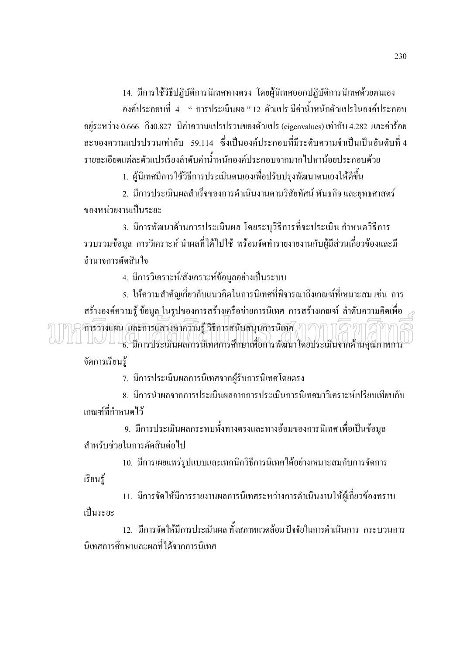14. มีการใช้วิธีปฏิบัติการนิเทศทางตรง โดยผู้นิเทศออกปฏิบัติการนิเทศด้วยตนเอง

้องค์ประกอบที่ 4 " การประเมินผล"12 ตัวแปร มีค่าน้ำหนักตัวแปรในองค์ประกอบ อยู่ระหว่าง 0.666 ถึง0.827 มีค่าความแปรปรวนของตัวแปร (eigenvalues) เท่ากับ 4.282 และค่าร้อย ิละของความแปรปรวนเท่ากับ 59.114 ซึ่งเป็นองค์ประกอบที่มีระดับความจำเป็นเป็นอันดับที่ 4 รายละเอียดแต่ละตัวแปรเรียงลำดับค่าน้ำหนักองค์ประกอบจากมากไปหาน้อยประกอบด้วย

1. ผู้นิเทศมีการใช้วิธีการประเมินตนเองเพื่อปรับปรุงพัฒนาตนเองให้ดีขึ้น

่ 2. มีการประเมินผลสำเร็จของการคำเนินงานตามวิสัยทัศน์ พันธกิจ และยทธศาสตร์ ีของหน่วยงานเป็นระยะ

่ 3. มีการพัฒนาด้านการประเมินผล โดยระบุวิธีการที่จะประเมิน กำหนดวิธีการ ้รวบรวมข้อมูล การวิเคราะห์ นำผลที่ได้ไปใช้ พร้อมจัดทำรายงายงานกับผู้มีส่วนเกี่ยวข้องและมี คำบาจการตัดสิบใจ

4. มีการวิเคราะห์/สังเคราะห์ข้อมลอย่างเป็นระบบ

่ 5. ให้ความสำคัญเกี่ยวกับแนวคิดในการนิเทศที่พิจารณาถึงเกณฑ์ที่เหมาะสม เช่น การ สร้างองค์ความรู้ ข้อมูล ในรูปของการสร้างเครือข่ายการนิเทศ การสร้างเกณฑ์ ลำดับความคิดเพื่อ  $\widehat{\mathsf{n}}$ ารวางแผน และการแสวงหาความรู้ วิธีการสนับสนุนการนิเทศ $\mathscr{\mathbb{R}}\cap\mathscr{C}$ 11 1∪ 11 (4 การประเมินผลการนิเทศการศึกษาเพื่อการพัฒนาโดยประเมินจากด้านคุณภาพการ

จัดการเรียนร้

7. มีการประเมินผลการนิเทศจากผู้รับการนิเทศโดยตรง

8. มีการนำผลจากการประเมินผลจากการประเมินการนิเทศมาวิเคราะห์เปรียบเทียบกับ ้เกณฑ์ที่กำหนดไว้

่ 9. มีการประเมินผลกระทบทั้งทางตรงและทางอ้อมของการนิเทศ เพื่อเป็นข้อมูล สำหรับช่วยในการตัดสินต่อไป

10. มีการเผยแพร่รูปแบบและเทคนิควิธีการนิเทศได้อย่างเหมาะสมกับการจัดการ เรียนรู้

11. มีการจัดให้มีการรายงานผลการนิเทศระหว่างการคำเนินงานให้ผู้เกี่ยวข้องทราบ เป็นระยะ

12. มีการจัดให้มีการประเมินผล ทั้งสภาพแวดล้อม ปัจจัยในการคำเนินการ กระบวนการ นิเทศการศึกษาและผลที่ได้จากการนิเทศ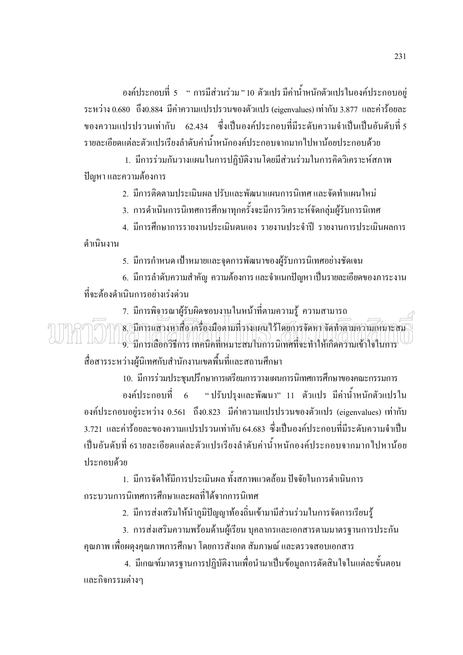้องค์ประกอบที่ 5 " การมีส่วนร่วม"10 ตัวแปร มีค่าน้ำหนักตัวแปรในองค์ประกอบอยู่ ระหว่าง 0.680 ถึง0.884 มีค่าความแปรปรวนของตัวแปร (eigenvalues) เท่ากับ 3.877 และค่าร้อยละ ีของความแปรปรวนเท่ากับ 62.434 ซึ่งเป็นองค์ประกอบที่มีระดับความจำเป็นเป็นอันดับที่ 5 ้รายละเอียดแต่ละตัวแปรเรียงลำดับค่าน้ำหนักองค์ประกอบจากมากไปหาน้อยประกอบด้วย

1. มีการร่วมกันวางแผนในการปฏิบัติงานโดยมีส่วนร่วมในการคิดวิเคราะห์สภาพ ปัญหา และความต้องการ

่ 2. มีการติดตามประเมินผล ปรับและพัฒนาแผนการนิเทศ และจัดทำแผนใหม่

3. การดำเนินการนิเทศการศึกษาทุกครั้งจะมีการวิเคราะห์จัดกลุ่มผู้รับการนิเทศ

4. มีการศึกษาการรายงานประเมินตนเอง รายงานประจำปี รายงานการประเมินผลการ ดำเบิบงาบ

5. มีการกำหนด เป้าหมายและจุดการพัฒนาของผู้รับการนิเทศอย่างชัดเจน

6. มีการลำดับความสำคัญ ความต้องการและจำแนกปัญหาเป็นรายละเอียดของภาระงาน ที่จะต้องดำเนินการอย่างเร่งด่วน

7. มีการพิจารณาผู้รับผิดชอบงานในหน้าที่ตามความรู้ ความสามารถ 8. มีการแสวงหาสื่อ เครื่องมือตามที่รางแผนไว้โดยการจัดหาจัดทำตามความเหมาะสม .<br>9. มีการเลือกวิธีการ เทคนิคที่เหมาะสมในการนิเทศที่จะทำให้เกิดความเข้าใจในการ สื่อสารระหว่างผู้นิเทศกับสำนักงานเขตพื้นที่และสถานศึกษา

10. มีการร่วมประชุมปรึกษาการเตรียมการวางแผนการนิเทศการศึกษาของคณะกรรมการ องค์ประกอบที่ 6 "ปรับปรุงและพัฒนา" 11 ตัวแปร มีค่าน้ำหนักตัวแปรใน องค์ประกอบอยู่ระหว่าง 0.561 ถึง0.823 มีค่าความแปรปรวนของตัวแปร (eigenvalues) เท่ากับ 3.721 และค่าร้อยละของความแปรปรวนเท่ากับ 64.683 ซึ่งเป็นองค์ประกอบที่มีระดับความจำเป็น ้เป็นอันดับที่ 6รายละเอียดแต่ละตัวแปรเรียงลำดับค่าน้ำหนักองค์ประกอบจากมากไปหาน้อย ประกอบด้วย

1. มีการจัดให้มีการประเมินผล ทั้งสภาพแวดล้อม ปัจจัยในการคำเนินการ ้กระบวนการนิเทศการศึกษาและผลที่ได้จากการนิเทศ

2. มีการส่งเสริมให้นำภูมิปัญญาท้องถิ่นเข้ามามีส่วนร่วมในการจัดการเรียนรู้

3. การส่งเสริมความพร้อมด้านผู้เรียน บุคลากรและเอกสารตามมาตรฐานการประกัน ้คุณภาพ เพื่อผดงคุณภาพการศึกษา โดยการสังเกต สัมภาษณ์ และตรวจสอบเอกสาร

4. มีเกณฑ์มาตรฐานการปฏิบัติงานเพื่อนำมาเป็นข้อมูลการตัดสินใจในแต่ละขั้นตอน และกิจกรรมต่างๆ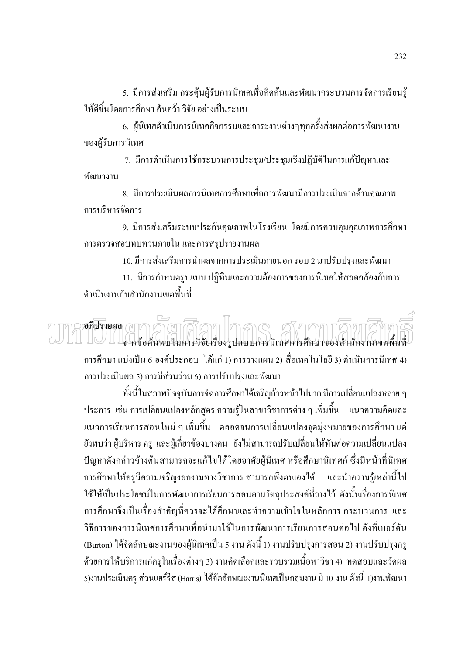5. มีการส่งเสริม กระตุ้นผู้รับการนิเทศเพื่อคิดค้นและพัฒนากระบวนการจัดการเรียนรู้ ให้ดีขึ้นโดยการศึกษา ค้นคว้า วิจัย อย่างเป็นระบบ

6. ผู้นิเทศดำเนินการนิเทศกิจกรรมและภาระงานต่างๆทุกครั้งส่งผลต่อการพัฒนางาน ของผู้รับการนิเทศ

7. มีการคำเนินการใช้กระบวนการประชุม/ประชุมเชิงปฏิบัติในการแก้ปัญหาและ พัฒนางาน

่ 8. มีการประเมินผลการนิเทศการศึกษาเพื่อการพัฒนามีการประเมินจากด้านคณภาพ การบริหารจัดการ

9. มีการส่งเสริมระบบประกันคุณภาพในโรงเรียน โดยมีการควบคุมคุณภาพการศึกษา ึการตรวจสอบทบทวนภายใน และการสรุปรายงานผล

10. มีการส่งเสริมการนำผลจากการประเมินภายนอก รอบ 2 มาปรับปรุงและพัฒนา

11. มีการกำหนดรูปแบบ ปฏิทินและความต้องการของการนิเทศให้สอดคล้องกับการ ดำเนินงานกับสำนักงานเขตพื้นที่

# อภิปรายผล ( 1 จากข้อค้นพบในการวิจัยเรื่องรูปแบบการนิเทศการศึกษาของสำนักงานเขตพื้นที่

ึการศึกษา แบ่งเป็น 6 องค์ประกอบ ได้แก่ 1) การวางแผน 2) สื่อเทคโนโลยี 3) ดำเนินการนิเทศ 4) การประเมินผล 5) การมีส่วนร่วม 6) การปรับปรุงและพัฒนา

้ทั้งนี้ในสภาพปัจจุบันการจัดการศึกษาได้เจริญก้าวหน้าไปมาก มีการเปลี่ยนแปลงหลาย ๆ ี ประการ เช่น การเปลี่ยนแปลงหลักสูตร ความรู้ในสาขาวิชาการต่าง ๆ เพิ่มขึ้น แนวความคิดและ แนวการเรียนการสอนใหม่ ๆ เพิ่มขึ้น ตลอดจนการเปลี่ยนแปลงจุดมุ่งหมายของการศึกษา แต่ ้ยังพบว่าผู้บริหาร ครู และผู้เกี่ยวข้องบางคน ยังไม่สามารถปรับเปลี่ยนให้ทันต่อความเปลี่ยนแปลง ้ปัญหาดังกล่าวข้างต้นสามารถจะแก้ไขได้โดยอาศัยผู้นิเทศ หรือศึกษานิเทศก์ ซึ่งมีหน้าที่นิเทศ ี การศึกษาให้ครูมีความเจริญงอกงามทางวิชาการ สามารถพึ่งตนเองได้ และนำความรู้เหล่านี้ไป ใช้ให้เป็นประโยชน์ในการพัฒนาการเรียนการสอนตามวัตถุประสงค์ที่วางไว้ ดังนั้นเรื่องการนิเทศ ึการศึกษาจึงเป็นเรื่องสำคัญที่ควรจะใด้ศึกษาและทำความเข้าใจในหลักการ กระบวนการ และ ้วิธีการของการนิเทศการศึกษาเพื่อนำมาใช้ในการพัฒนาการเรียนการสอนต่อไป ดังที่เบอร์ตัน (Burton) ใด้จัดลักษณะงานของผู้นิเทศเป็น 5 งาน ดังนี้ 1) งานปรับปรุงการสอน 2) งานปรับปรุงครู ้ด้วยการให้บริการแก่ครูในเรื่องต่างๆ 3) งานคัดเลือกและรวบรวมเนื้อหาวิชา 4) ทดสอบและวัดผล 5)งานประเมินครู ส่วนแฮร์รีส (Harris) ได้จัดลักษณะงานนิเทศเป็นกลุ่มงาน มี 10 งาน ดังนี้ 1)งานพัฒนา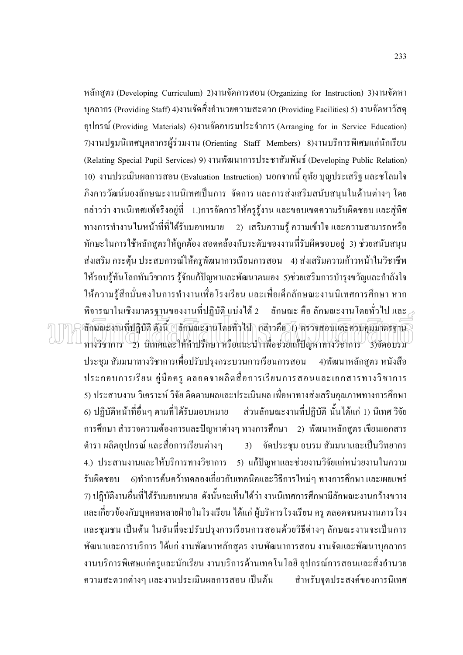หลักสูตร (Developing Curriculum) 2)งานจัดการสอน (Organizing for Instruction) 3)งานจัดหา บุคลากร (Providing Staff) 4)งานจัดสิ่งอำนวยความสะดวก (Providing Facilities) 5) งานจัดหาวัสดุ อุปกรณ์ (Providing Materials) 6)งานขัดอบรมประจำการ (Arranging for in Service Education) 7)งานปฐมนิเทศบุคลากรผู้ร่วมงาน (Orienting Staff Members) 8)งานบริการพิเศษแก่นักเรียน (Relating Special Pupil Services) 9) งานพัฒนาการประชาสัมพันธ์ (Developing Public Relation) 10) งานประเมินผลการสอน (Evaluation Instruction) นอกจากนี้ อุทัย บุญประเสริฐ และชโลมใจ ้ภิงคารวัฒน์มองลักษณะงานนิเทศเป็นการ จัดการและการส่งเสริมสนับสนุนในด้านต่างๆ โดย ี กล่าวว่า งานนิเทศแท้จริงอยู่ที่ 1.)การจัดการให้ครูรู้งาน และขอบเขตความรับผิดชอบ และสู่ทิศ ี ทางการทำงานในหน้าที่ที่ได้รับมอบหมาย 2) เสริมความรู้ ความเข้าใจและความสามารถหรือ ทักษะในการใช้หลักสูตรให้ถูกต้อง สอดคล้องกับระดับของงานที่รับผิดชอบอยู่ 3) ช่วยสนับสนุน ส่งเสริม กระตุ้น ประสบการณ์ให้ครูพัฒนาการเรียนการสอน 4) ส่งเสริมความก้าวหน้าในวิชาชีพ ให้รอบรู้ทันโลกทันวิชาการ รู้จักแก้ปัญหาและพัฒนาตนเอง 5)ช่วยเสริมการบำรุงขวัญและกำลังใจ ให้ความรู้สึกมั่นคงในการทำงานเพื่อโรงเรียน และเพื่อเด็กลักษณะงานนิเทศการศึกษา หาก พิจารณาในเชิงมาตรฐานของงานที่ปฏิบัติแบ่งได้ 2 ลักษณะ คือ ลักษณะงานโดยทั่วไป และ  $_{\geq}$ ลักษณะงานที่ปฏิบัติ ดังนี้ ปลักษณะงานโดยทั่วไป กล่าวคือ 1) ครวจสอบและควบคุมมาตรฐาน ทางวิชาการ 2) นิเทศและให้คำปรึกษา หรือแนะนำ เพื่อช่วยแก้ปัญหาทางวิชาการ 3)จัดอบรม ประชุม สัมมนาทางวิชาการเพื่อปรับปรุงกระบวนการเรียนการสอน 4)พัฒนาหลักสูตร หนังสือ ประกอบการเรียน คู่มือครู ตลอดจาผลิตสื่อการเรียนการสอนและเอกสารทางวิชาการ 5) ประสานงาน วิเคราะห์ วิจัย ติดตามผลและประเมินผล เพื่อหาทางส่งเสริมคุณภาพทางการศึกษา 6) ปฏิบัติหน้าที่อื่นๆ ตามที่ได้รับมอบหมาย ส่วนลักษณะงานที่ปฏิบัติ นั้นได้แก่ 1) นิเทศ วิจัย ี การศึกษา สำรวจความต้องการและปัญหาต่างๆ ทางการศึกษา 2) พัฒนาหลักสูตร เขียนเอกสาร ี ตำรา ผลิตอุปกรณ์ และสื่อการเรียนต่างๆ 3) จัดประชุม อบรม สัมมนาและเป็นวิทยากร 4.) ประสานงานและให้บริการทางวิชาการ 5) แก้ปัญหาและช่วยงานวิจัยแก่หน่วยงานในความ รับผิดชอบ 6)ทำการค้นคว้าทดลองเกี่ยวกับเทคนิคและวิธีการใหม่ๆ ทางการศึกษา และเผยแพร่ 7) ปฏิบัติงานอื่นที่ได้รับมอบหมาย ดังนั้นจะเห็นได้ว่า งานนิเทศการศึกษามีลักษณะงานกว้างขวาง ้ และเกี่ยวข้องกับบุคคลหลายฝ่ายในโรงเรียน ได้แก่ ผู้บริหารโรงเรียน ครู ตลอดจนคนงานภารโรง และชุมชน เป็นต้น ในอันที่จะปรับปรุงการเรียนการสอนด้วยวิธีต่างๆ ลักษณะงานจะเป็นการ พัฒนาและการบริการ ได้แก่ งานพัฒนาหลักสูตร งานพัฒนาการสอน งานจัดและพัฒนาบุคลากร ึ่งานบริการพิเศษแก่ครูและนักเรียน งานบริการด้านเทคโนโลยี อุปกรณ์การสอนและสิ่งอำนวย ้ความสะดวกต่างๆ และงานประเมินผลการสอน เป็นต้น สำหรับจดประสงค์ของการนิเทศ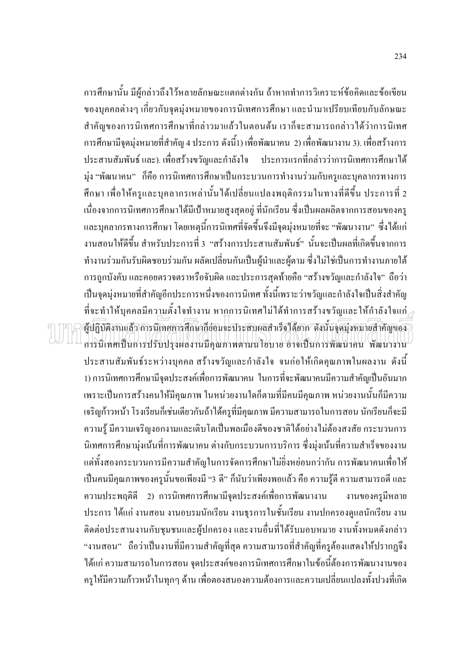ึการศึกษานั้น มีผู้กล่าวถึงไว้หลายลักษณะแตกต่างกัน ถ้าหากทำการวิเคราะห์ข้อคิดและข้อเขียน ของบุคคลต่างๆ เกี่ยวกับจุดมุ่งหมายของการนิเทศการศึกษา และนำมาเปรียบเทียบกับลักษณะ ี สำคัญของการนิเทศการศึกษาที่กล่าวมาแล้วในตอนต้น เราก็จะสามารถกล่าวได้ว่าการนิเทศ ึการศึกษามีจุดมุ่งหมายที่สำคัญ 4 ประการ ดังนี้1) เพื่อพัฒนาคน 2) เพื่อพัฒนางาน 3). เพื่อสร้างการ <u>ิ์ ประการแรกที่กล่าวว่าการนิเทศการศึกษาได้</u> ประสานสัมพันธ์ และ). เพื่อสร้างขวัญและกำลังใจ ี่มุ่ง "พัฒนาคน" ก็คือ การนิเทศการศึกษาเป็นกระบวนการทำงานร่วมกับครูและบุคลากรทางการ ้ศึกษา เพื่อให้ครูและบุคลากรเหล่านั้นได้เปลี่ยนแปลงพฤติกรรมในทางที่ดีขึ้น ประการที่ 2 ้เนื่องจากการนิเทศการศึกษาได้มีเป้าหมายสูงสุดอยู่ ที่นักเรียน ซึ่งเป็นผลผลิตจากการสอนของครู และบุคลากรทางการศึกษา โดยเหตุนี้การนิเทศที่จัดขึ้นจึงมีจุดมุ่งหมายที่จะ "พัฒนางาน" ซึ่งได้แก่ ึงานสอนให้ดีขึ้น สำหรับประการที่ 3 "สร้างการประสานสัมพันธ์" นั่นจะเป็นผลที่เกิดขึ้นจากการ ทำงานร่วมกันรับผิดชอบร่วมกัน ผลัดเปลี่ยนกันเป็นผู้นำและผู้ตาม ซึ่งไม่ใช่เป็นการทำงานภายใต้ ึการถกบังคับ และคอยตรวจตราหรือจับผิด และประการสดท้ายคือ "สร้างขวัณและกำลังใจ" ถือว่า ้เป็นจุดมุ่งหมายที่สำคัญอีกประการหนึ่งของการนิเทศ ทั้งนี้เพราะว่าขวัญและกำลังใจเป็นสิ่งสำคัญ ที่จะทำให้บุคคลมีความตั้งใจทำงาน หากการนิเทศไม่ได้ทำการสร้างขวัญและให้กำลังใจแก่ $\scriptstyle\geqslant$ ผู้ปฏิบัติงานแล้ว การนิเทศการศึกษาก็ย่อมจะประสบผลสำเร็จใค้ยาก คังนั้นจุดมุ่งหมายสำคัญของ การนิเทศเป็นการปรับปรงผลงานมือณภาพตามนโยบาย อาจเป็นการพัฒนาคน พัฒนางาน ี ประสานสัมพันธ์ระหว่างบุคคล สร้างขวัญและกำลังใจ จนก่อให้เกิดคุณภาพในผลงาน ดังนี้ 1) การนิเทศการศึกษามีจุดประสงค์เพื่อการพัฒนาคน ในการที่จะพัฒนาคนมีความสำคัญเป็นอันมาก ้เพราะเป็นการสร้างคนให้มีคุณภาพ ในหน่วยงานใดก็ตามที่มีคนมีคุณภาพ หน่วยงานนั้นก็มีความ เจริญก้าวหน้า โรงเรียนก็เช่นเดียวกันถ้าได้ครูที่มีคุณภาพ มีความสามารถในการสอน นักเรียนก็จะมี ้ความรู้ มีความเจริญงอกงามและเติบโตเป็นพลเมืองดีของชาติได้อย่างไม่ต้องสงสัย กระบวนการ ้นิเทศการศึกษามุ่งเน้นที่การพัฒนาคน ต่างกับกระบวนการบริการ ซึ่งมุ่งเน้นที่ความสำเร็จของงาน ้ แต่ทั้งสองกระบวนการมีความสำคัญในการจัดการศึกษาไม่อิ่งหย่อนกว่ากัน การพัฒนาคนเพื่อให้ ้เป็นคนมีคุณภาพของครูนั้นขอเพียงมี "3 คื" ก็นับว่าเพียงพอแล้ว คือ ความรู้ดี ความสามารถดี และ ี ความประพฤติดี 2) การนิเทศการศึกษามีจุดประสงค์เพื่อการพัฒนางาน งานของครมีหลาย ประการ ได้แก่ งานสอน งานอบรมนักเรียน งานธุรการในชั้นเรียน งานปกครองดูแลนักเรียน งาน ้ติดต่อประสานงานกับชุมชนและผู้ปกครอง และงานอื่นที่ได้รับมอบหมาย งานทั้งหมดดังกล่าว "งานสอน" ถือว่าเป็นงานที่มีความสำคัญที่สุด ความสามารถที่สำคัญที่ครูต้องแสดงให้ปรากฏจึง ได้แก่ ความสามารถในการสอน จุดประสงค์ของการนิเทศการศึกษาในข้อนี้ต้องการพัฒนางานของ ้ครูให้มีความก้าวหน้าในทุกๆ ด้าน เพื่อตองสนองความต้องการและความเปลี่ยนแปลงทั้งปวงที่เกิด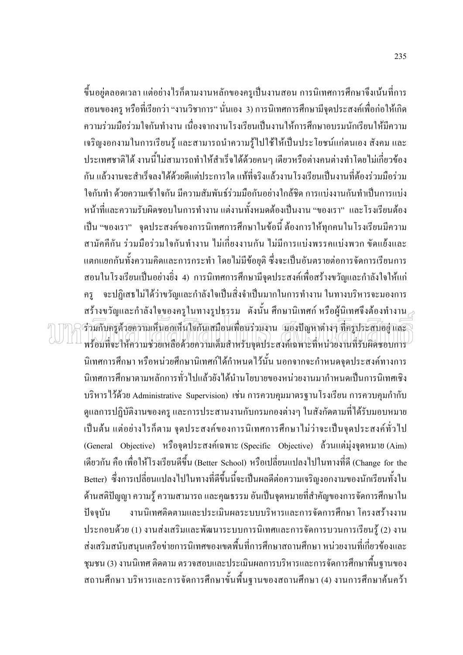์ ขึ้นอยู่ตลอดเวลา แต่อย่างไรก็ตามงานหลักของครูเป็นงานสอน การนิเทศการศึกษาจึงเน้นที่การ สอนของครู หรือที่เรียกว่า "งานวิชาการ" นั่นเอง 3) การนิเทศการศึกษามีจุดประสงค์เพื่อก่อให้เกิด ้ความร่วมมือร่วมใจกันทำงาน เนื่องจากงานโรงเรียนเป็นงานให้การศึกษาอบรมนักเรียนให้มีความ ้เจริญงอกงามในการเรียนรู้ และสามารถนำความรู้ไปใช้ให้เป็นประโยชน์แก่ตนเอง สังคม และ ำโระเทศชาติได้ งานนี้ไม่สามารถทำให้สำเร็จได้ด้วยคนๆ เดียวหรือต่างคนต่างทำโดยไม่เกี่ยวข้อง ้กัน แล้วงานจะสำเร็จลงได้ด้วยดีแต่ประการใด แท้ที่จริงแล้วงานโรงเรียนเป็นงานที่ต้องร่วมมือร่วม ใจกันทำ ด้วยความเข้าใจกัน มีความสัมพันธ์ร่วมมือกันอย่างใกล้ชิด การแบ่งงานกันทำเป็นการแบ่ง หน้าที่และความรับผิดชอบในการทำงาน แต่งานทั้งหมดต้องเป็นงาน "ของเรา" และโรงเรียนต้อง ้เป็น "ของเรา" จุดประสงค์ของการนิเทศการศึกษาในข้อนี้ ต้องการให้ทุกคนในโรงเรียนมีความ ี่สามัคคีกัน ร่วมมือร่วมใจกันทำงาน ไม่เกี่ยงงานกัน ไม่มีการแบ่งพรรคแบ่งพวก ขัดแย้งและ ้แตกแยกกันทั้งความคิดและการกระทำ โดยไม่มีข้อยุติ ซึ่งจะเป็นอันตรายต่อการจัดการเรียนการ ี่ สอนในโรงเรียนเป็นอย่างยิ่ง 4) การนิเทศการศึกษามีจดประสงค์เพื่อสร้างขวัณและกำลังใจให้แก่ ้ จะปฏิเสธไม่ได้ว่าขวัญและกำลังใจเป็นสิ่งจำเป็นมากในการทำงาน ในทางบริหารจะมองการ คร สร้างขวัญและกำลังใจของครูในทางรูปธรรม ดังนั้น ศึกษานิเทศก์ หรือผู้นิเทศจึงต้องทำงาน , รามกับครูด้วยความเห็นอกเห็นใจกันเสมือนเพื่อนร่วมงาน มองปัญหาต่างๆ ที่ครูประสบอยู่ และ พร้อมที่จะให้ความช่วยเหลือด้วยความเต็มสำหรับจุดประสงค์เฉพาะที่หน่วยงานที่รับผิดชอบการ นิเทศการศึกษา หรือหน่วยศึกษานิเทศก์ได้กำหนดไว้นั้น นอกจากจะกำหนดจุดประสงค์ทางการ นิเทศการศึกษาตามหลักการทั่วไปแล้วยังได้นำนโยบายของหน่วยงานมากำหนดเป็นการนิเทศเชิง บริหารไว้ด้วย Administrative Supervision) เช่น การควบคุมมาตรฐานโรงเรียน การควบคุมกำกับ ดูแลการปฏิบัติงานของครู และการประสานงานกับกรมกองต่างๆ ในสังกัดตามที่ได้รับมอบหมาย ้เป็นต้น แต่อย่างไรก็ตาม จุดประสงค์ของการนิเทศการศึกษาไม่ว่าจะเป็นจุดประสงค์ทั่วไป (General Objective) หรือจุดประสงค์เฉพาะ (Specific Objective) ด้วนแต่มุ่งจุดหมาย (Aim) เดียวกัน คือ เพื่อให้โรงเรียนดีขึ้น (Better School) หรือเปลี่ยนแปลงไปในทางที่ดี (Change for the Better) ซึ่งการเปลี่ยนแปลงไปในทางที่ดีขึ้นนี้จะเป็นผลดีต่อความเจริญงอกงามของนักเรียนทั้งใน ้ด้านสติปัญญา ความรู้ ความสามารถ และคุณธรรม อันเป็นจุดหมายที่สำคัญของการจัดการศึกษาใน งานนิเทศติดตามและประเมินผลระบบบริหารและการจัดการศึกษา โครงสร้างงาน ปัจจบัน ประกอบด้วย (1) งานส่งเสริมและพัฒนาระบบการนิเทศและการจัดการบวนการเรียนรู้ (2) งาน ้ ส่งเสริมสนับสนุนเครือข่ายการนิเทศของเขตพื้นที่การศึกษาสถานศึกษา หน่วยงานที่เกี่ยวข้องและ ิชุมชน (3) งานนิเทศ ติดตาม ตรวจสอบและประเมินผลการบริหารและการจัดการศึกษาพื้นฐานของ ิสถานศึกษา บริหารและการจัดการศึกษาขั้นพื้นฐานของสถานศึกษา (4) งานการศึกษาค้นคว้า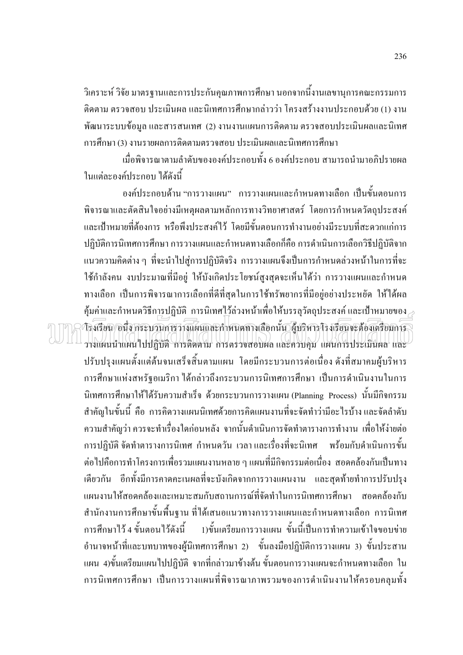วิเคราะห์ วิจัย มาตรฐานและการประกันคุณภาพการศึกษา นอกจากนี้งานเลขานุการคณะกรรมการ ้ติดตาม ตรวจสอบ ประเมินผล และนิเทศการศึกษากล่าวว่า โครงสร้างงานประกอบด้วย (1) งาน พัฒนาระบบข้อมูล และสารสนเทศ (2) งานงานแผนการติดตาม ตรวจสอบประเมินผลและนิเทศ ึการศึกษา (3) งานรายผลการติดตามตรวจสอบ ประเมินผลและนิเทศการศึกษา

เมื่อพิจารณาตามลำดับขององค์ประกอบทั้ง 6 องค์ประกอบ สามารถนำมาอภิปรายผล ในแต่ละองค์ประกอบ ได้ดังนี้

้องค์ประกอบด้าน "การวางแผน" การวางแผนและกำหนดทางเลือก เป็นขั้นตอนการ พิจารณาและตัดสินใจอย่างมีเหตุผลตามหลักการทางวิทยาศาสตร์ โดยการกำหนดวัตถุประสงค์ และเป้าหมายที่ต้องการ หรือพึงประสงค์ไว้ โดยมีขั้นตอนการทำงานอย่างมีระบบที่สะดวกแก่การ ปฏิบัติการนิเทศการศึกษา การวางแผนและกำหนดทางเลือกก็คือ การดำเนินการเลือกวิธีปฏิบัติจาก ี แนวความคิดต่าง ๆ ที่จะนำไปสู่การปฏิบัติจริง การวางแผนจึงเป็นการกำหนดล่วงหน้าในการที่จะ ใช้กำลังคน งบประมาณที่มีอย่ ให้บังเกิดประโยชน์สงสดจะเห็นได้ว่า การวางแผนและกำหนด ทางเลือก เป็นการพิจารณาการเลือกที่ดีที่สุดในการใช้ทรัพยากรที่มีอยู่อย่างประหยัด ให้ได้ผล ้คุ้มค่าและกำหนดวิธีก<u>า</u>รปฏิบัติ การนิเทศ<u>ไว้</u>ล่วงหน้าเพื่อให้บรรลุวัตถุประสงค์ และเป้าหมายของ โรงเรียน/อนึ่ง กระบวนการว่างแผนและกำหนดทางเลือกนั้น ผู้ปริหารโรงเรียนจะต้องเตรียมการ วางแผนนำแผนไปปฏิบัติ การติดตาม การตรวจสอบผล และควบคม แผนการประเมินผล และ ปรับปรุงแผนตั้งแต่ต้นจนเสร็จสิ้นตามแผน โดยมีกระบวนการต่อเนื่อง ดังที่สมาคมผู้บริหาร ึการศึกษาแห่งสหรัฐอเมริกา ได้กล่าวถึงกระบวนการนิเทศการศึกษา เป็นการดำเนินงานในการ นิเทศการศึกษาให้ได้รับความสำเร็จ ด้วยกระบวนการวางแผน (Planning Process) นั้นมีกิจกรรม ี สำคัญในขั้นนี้ คือ การคิดวางแผนนิเทศด้วยการคิดแผนงานที่จะจัดทำว่ามีอะไรบ้าง และจัดลำดับ ้ความสำคัญว่า ควรจะทำเรื่องใดก่อนหลัง จากนั้นดำเนินการจัดทำตารางการทำงาน เพื่อให้ง่ายต่อ ี การปฏิบัติ จัดทำตารางการนิเทศ กำหนดวัน เวลาและเรื่องที่จะนิเทศ พร้อมกับดำเนินการขั้น ต่อไปคือการทำโครงการเพื่อรวมแผนงานหลาย ๆ แผนที่มีกิจกรรมต่อเนื่อง สอดคล้องกันเป็นทาง เดียวกัน อีกทั้งมีการคาดคะเนผลที่จะบังเกิดจากการวางแผนงาน และสุดท้ายทำการปรับปรุง แผนงานให้สอดคล้องและเหมาะสมกับสถานการณ์ที่จัดทำในการนิเทศการศึกษา สอดคล้องกับ ี สำนักงานการศึกษาขั้นพื้นฐาน ที่ได้เสนอแนวทางการวางแผนและกำหนดทางเลือก การนิเทศ 1)ขั้นเตรียมการวางแผน ขั้นนี้เป็นการทำความเข้าใจขอบข่าย การศึกษาไว้ 4 ขั้นตอนไว้ดังนี้ อำนาจหน้าที่และบทบาทของผู้นิเทศการศึกษา 2) ขั้นลงมือปฏิบัติการวางแผน 3) ขั้นประสาน ้แผน 4)ขั้นเตรียมแผนไปปฏิบัติ จากที่กล่าวมาข้างต้น ขั้นตอนการวางแผนจะกำหนดทางเลือก ใน ึการนิเทศการศึกษา เป็นการวางแผนที่พิจารณาภาพรวมของการดำเนินงานให้ครอบคลมทั้ง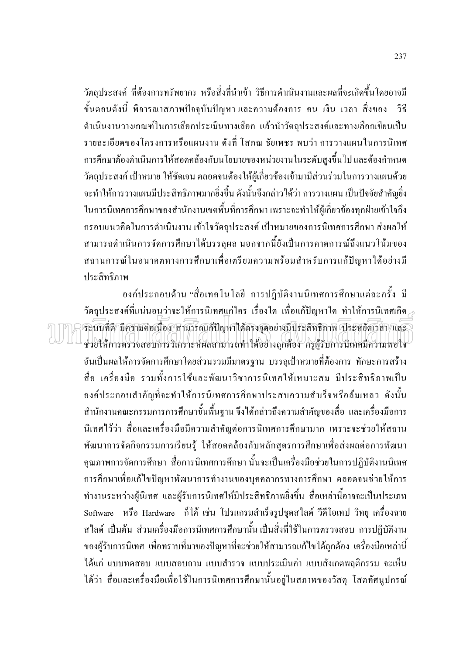วัตถุประสงค์ ที่ต้องการทรัพยากร หรือสิ่งที่นำเข้า วิธีการดำเนินงานและผลที่จะเกิดขึ้นโดยอาจมี ์ขั้นตอนดังนี้ พิจารณาสภาพปัจจุบันปัญหาและความต้องการ คน เงิน เวลา สิ่งของ วิธี ้คำเนินงานวางเกณฑ์ในการเลือกประเมินทางเลือก แล้วนำวัตถุประสงค์และทางเลือกเขียนเป็น ้รายละเอียดของโครงการหรือแผนงาน ดังที่ โสภณ ชัยเพชร พบว่า การวางแผนในการนิเทศ ้การศึกษาต้องคำเนินการให้สอดคล้องกับนโยบายของหน่วยงานในระดับสูงขึ้นไป และต้องกำหนด ้วัตถุประสงค์ เป้าหมาย ให้ชัดเจน ตลอดจนต้องให้ผู้เกี่ยวข้องเข้ามามีส่วนร่วมในการวางแผนด้วย ้จะทำให้การวางแผนมีประสิทธิภาพมากยิ่งขึ้น ดังนั้นจึงกล่าวได้ว่า การวางแผน เป็นปัจจัยสำคัญยิ่ง ในการนิเทศการศึกษาของสำนักงานเขตพื้นที่การศึกษา เพราะจะทำให้ผู้เกี่ยวข้องทุกฝ่ายเข้าใจถึง ้กรอบแนวคิดในการดำเนินงาน เข้าใจวัตถุประสงค์ เป้าหมายของการนิเทศการศึกษา ส่งผลให้ สามารถคำเนินการจัดการศึกษาได้บรรลุผล นอกจากนี้ยังเป็นการคาดการณ์ถึงแนวโน้มของ ิสถานการณ์ในอนาคตทางการศึกษาเพื่อเตรียมความพร้อมสำหรับการแก้ปัญหาได้อย่างมี ประสิทธิภาพ

้องค์ประกอบด้าน "สื่อเทคโนโลยี การปฏิบัติงานนิเทศการศึกษาแต่ละครั้ง มี วัตถประสงค์ที่แน่นอนว่าจะให้การนิเทศแก่ใคร เรื่องใด เพื่อแก้ปัญหาใด ทำให้การนิเทศเกิด $_\ge$ ระบบที่สี มีความต่อเนื่อง สามารถแก้ปัญหาได้ตรงจออย่างมีประสิทธิภาพ ประหยัดเวลา และ ) ช่วยให้การตรวจสอบการวิเคราะห์ผลสามารถทำได้อย่างถูกต้อง ครูผู้รับการนิเทศมีความพอใจ ้อันเป็นผลให้การจัดการศึกษาโดยส่วนรวมมีมาตรฐาน บรรลุเป้าหมายที่ต้องการ ทักษะการสร้าง ้สื่อ เครื่องมือ รวมทั้งการใช้และพัฒนาวิชาการนิเทศให้เหมาะสม มีประสิทธิภาพเป็น ้องค์ประกอบสำคัญที่จะทำให้การนิเทศการศึกษาประสบความสำเร็จหรือล้มเหลว ดังนั้น ี สำนักงานคณะกรรมการการศึกษาขั้นพื้นฐาน จึงได้กล่าวถึงความสำคัญของสื่อ และเครื่องมือการ นิเทศไว้ว่า สื่อและเครื่องมือมีความสำคัญต่อการนิเทศการศึกษามาก เพราะจะช่วยให้สถาน ้ พัฒนาการจัดกิจกรรมการเรียนรู้ ให้สอดคล้องกับหลักสูตรการศึกษาเพื่อส่งผลต่อการพัฒนา ้คุณภาพการจัดการศึกษา สื่อการนิเทศการศึกษา นั้นจะเป็นเครื่องมือช่วยในการปฏิบัติงานนิเทศ ึการศึกษาเพื่อแก้ไขปัญหาพัฒนาการทำงานของบุคคลากรทางการศึกษา ตลอดจนช่วยให้การ ทำงานระหว่างผู้นิเทศ และผู้รับการนิเทศให้มีประสิทธิภาพยิ่งขึ้น สื่อเหล่านี้อาจจะเป็นประเภท Software หรือ Hardware ก็ได้ เช่น โปรแกรมสำเร็จรูปชุดสไลด์ วีดีโอเทป วิทยุ เครื่องฉาย สไลด์ เป็นต้น ส่วนเครื่องมือการนิเทศการศึกษานั้นเป็นสิ่งที่ใช้ในการตรวจสอบ การปฏิบัติงาน ของผู้รับการนิเทศ เพื่อทราบที่มาของปัญหาที่จะช่วยให้สามารถแก้ไขได้ถูกต้อง เครื่องมือเหล่านี้ ได้แก่ แบบทดสอบ แบบสอบถาม แบบสำรวจ แบบประเมินค่า แบบสังเกตพฤติกรรม จะเห็น ใด้ว่า สื่อและเครื่องมือเพื่อใช้ในการนิเทศการศึกษานั้นอยู่ในสภาพของวัสดุ โสตทัศนูปกรณ์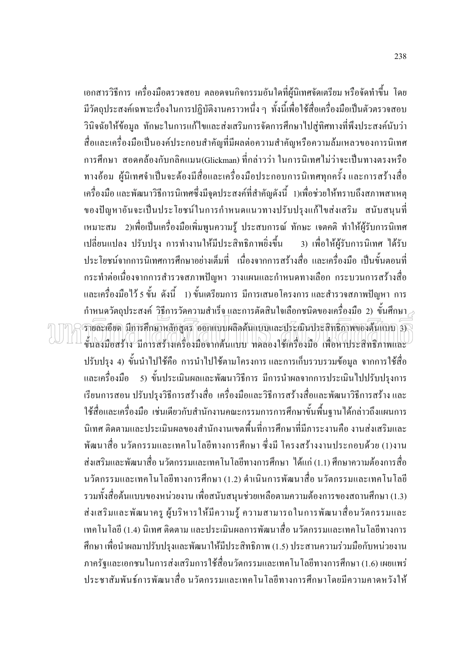้เอกสารวิธีการ เครื่องมือตรวจสอบ ตลอดจนกิจกรรมอันใดที่ผู้นิเทศจัดเตรียม หรือจัดทำขึ้น โดย มีวัตถุประสงค์เฉพาะเรื่องในการปฏิบัติงานคราวหนึ่ง ๆ ทั้งนี้เพื่อใช้สื่อเครื่องมือเป็นตัวตรวจสอบ วินิจฉัยให้ข้อมูล ทักษะในการแก้ไขและส่งเสริมการจัดการศึกษาไปสู่ทิศทางที่พึงประสงค์นับว่า สื่อและเครื่องมือเป็นองค์ประกอบสำคัญที่มีผลต่อความสำคัญหรือความล้มเหลวของการนิเทศ ี การศึกษา สอดคล้องกับกลิคแมน(Glickman) ที่กล่าวว่า ในการนิเทศไม่ว่าจะเป็นทางตรงหรือ ทางอ้อม ผู้นิเทศจำเป็นจะต้องมีสื่อและเครื่องมือประกอบการนิเทศทุกครั้ง และการสร้างสื่อ เครื่องมือ และพัฒนาวิธีการนิเทศซึ่งมีจุดประสงค์ที่สำคัญดังนี้ 1)เพื่อช่วยให้ทราบถึงสภาพสาเหตุ ของปัญหาอันจะเป็นประโยชน์ในการกำหนดแนวทางปรับปรุงแก้ไขส่งเสริม สนับสนุนที่ เหมาะสม 2)เพื่อเป็นเครื่องมือเพิ่มพูนความรู้ ประสบการณ์ ทักษะ เจตคติ ทำให้ผู้รับการนิเทศ เปลี่ยนแปลง ปรับปรุง การทำงานให้มีประสิทธิภาพยิ่งขึ้น 3) เพื่อให้ผ้รับการนิเทศ ได้รับ ำไระโยชน์จากการนิเทศการศึกษาอย่างเต็มที่ เนื่องจากการสร้างสื่อ และเครื่องมือ เป็นขั้นตอนที่ ึกระทำต่อเนื่องจากการสำรวจสภาพปัญหา วางแผนและกำหนดทางเลือก กระบวนการสร้างสื่อ ี และเครื่องมือไว้ 5 ขั้น ดังนี้ 1) ขั้นเตรียมการ มีการเสนอโครงการ และสำรวจสภาพปัญหา การ ์ กำหนดวัตถุประสงค์ วิธีการวัดความสำเร็จ และการตัดสินใจเลือกชนิดของเครื่องมือ 2) ขั้นศึกษา $_{\geq}$ รายละเอียด มีการศึกษาหลักสูตร ออกแบบผลิตต้นแบบและประเมินประสิทธิภาพของต้นแบบ 3 ขึ้นลงมือสร้าง มีการสร้างเครื่องมือจากต้นแบบ ทคลองใช้เครื่องมือ เพื่อหาประสิทธิภาพและ ปรับปรุง 4) ขั้นนำไปใช้คือ การนำไปใช้ตามโครงการและการเก็บรวบรวมข้อมูล จากการใช้สื่อ และเครื่องมือ 5) ขั้นประเมินผลและพัฒนาวิธีการ มีการนำผลจากการประเมินไปปรับปรุงการ ้เรียนการสอน ปรับปรุงวิธีการสร้างสื่อ เครื่องมือและวิธีการสร้างสื่อและพัฒนาวิธีการสร้าง และ ใช้สื่อและเครื่องมือ เช่นเดียวกับสำนักงานคณะกรรมการการศึกษาขั้นพื้นฐานใด้กล่าวถึงแผนการ นิเทศ ติดตามและประเมินผลของสำนักงานเขตพื้นที่การศึกษาที่มีภาระงานคือ งานส่งเสริมและ พัฒนาสื่อ นวัตกรรมและเทคโนโลยีทางการศึกษา ซึ่งมี โครงสร้างงานประกอบด้วย (1)งาน ้ส่งเสริมและพัฒนาสื่อ นวัตกรรมและเทคโนโลยีทางการศึกษา "ได้แก่ (1.1) ศึกษาความต้องการสื่อ ้นวัตกรรมและเทคโนโลยีทางการศึกษา (1.2) ดำเนินการพัฒนาสื่อ นวัตกรรมและเทคโนโลยี รวมทั้งสื่อต้นแบบของหน่วยงาน เพื่อสนับสนุนช่วยเหลือตามความต้องการของสถานศึกษา (1.3) ้ ส่งเสริมและพัฒนาครู ผู้บริหารให้มีความรู้ ความสามารถในการพัฒนาสื่อนวัตกรรมและ เทคโนโลยี (1.4) นิเทศ ติดตาม และประเมินผลการพัฒนาสื่อ นวัตกรรมและเทคโนโลยีทางการ ้ศึกษา เพื่อนำผลมาปรับปรุงและพัฒนาให้มีประสิทธิภาพ (1.5) ประสานความร่วมมือกับหน่วยงาน ภาครัฐและเอกชนในการส่งเสริมการใช้สื่อนวัตกรรมและเทคโนโลยีทางการศึกษา (1.6) เผยแพร่ ์ ประชาสัมพันธ์การพัฒนาสื่อ นวัตกรรมและเทคโนโลยีทางการศึกษาโดยมีความคาดหวังให้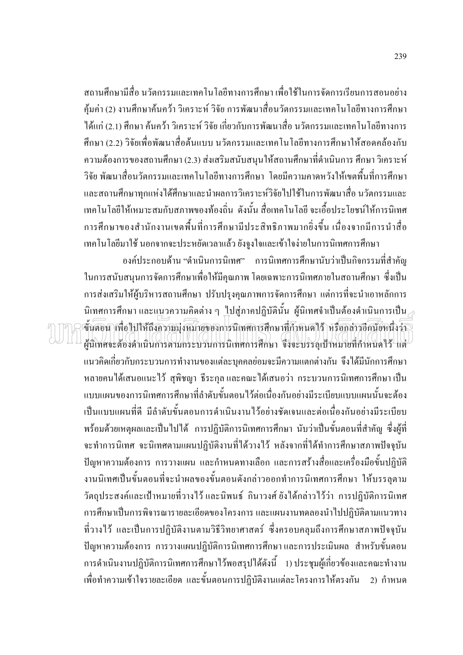ิสถานศึกษามีสื่อ นวัตกรรมและเทอโนโลยีทางการศึกษา เพื่อใช้ในการจัดการเรียนการสอนอย่าง ้คุ้มค่า (2) งานศึกษาค้นคว้า วิเคราะห์ วิจัย การพัฒนาสื่อนวัตกรรมและเทคโนโลยีทางการศึกษา ใด้แก่ (2.1) ศึกษา ค้นคว้า วิเคราะห์ วิจัย เกี่ยวกับการพัฒนาสื่อ นวัตกรรมและเทคโนโลยีทางการ ์ศึกษา (2.2) วิจัยเพื่อพัฒนาสื่อต้นแบบ นวัตกรรมและเทคโนโลยีทางการศึกษาให้สอดคล้องกับ ้ความต้องการของสถานศึกษา (2.3) ส่งเสริมสนับสนุนให้สถานศึกษาที่ดำเนินการ ศึกษา วิเคราะห์ ้วิจัย พัฒนาสื่อนวัตกรรมและเทคโนโลยีทางการศึกษา โดยมีความคาดหวังให้เขตพื้นที่การศึกษา และสถานศึกษาทุกแห่งได้ศึกษาและนำผลการวิเคราะห์วิจัยไปใช้ในการพัฒนาสื่อ นวัตกรรมและ เทคโนโลยีให้เหมาะสมกับสภาพของท้องถิ่น ดังนั้น สื่อเทคโนโลยี จะเอื้อประโยชน์ให้การนิเทศ ้การศึกษาของสำนักงานเขตพื้นที่การศึกษามีประสิทธิภาพมากยิ่งขึ้น เนื่องจากมีการนำสื่อ เทคโนโลยีมาใช้ นอกจากจะประหยัดเวลาแล้ว ยังจูงใจและเข้าใจง่ายในการนิเทศการศึกษา

องค์ประกอบด้าน "ดำเนินการนิเทศ" การนิเทศการศึกษานับว่าเป็นกิจกรรมที่สำคัญ ในการสนับสนนการจัดการศึกษาเพื่อให้มีคณภาพ โดยเฉพาะการนิเทศภายในสถานศึกษา ซึ่งเป็น ึการส่งเสริมให้ผู้บริหารสถานศึกษา ปรับปรุงคุณภาพการจัดการศึกษา แต่การที่จะนำเอาหลักการ นิเทศการศึกษา และแนวความคิดต่าง ๆ ไปส่ภาคปฏิบัตินั้น ผ้นิเทศจำเป็นต้องคำเนินการเป็น  $_\mathrm{\odot}$ ์ขั้นตอน เพื่อไปให้ถึงความมุ่งหมายของการนิเหศการศึกษาที่ก้าหนดไว้ หรือกล่าวอีกนัยหนึ่งว่า ผู้นิเทศจะต้องดำเนินการตามกระบวนการนิเทศการศึกษา จึงจะบรรลุเป้าหมายที่กำหนดไว้ แต่ ี แนวคิดเกี่ยวกับกระบวนการทำงานของแต่ละบุคคลย่อมจะมีความแตกต่างกัน จึงได้มีนักการศึกษา หลายคนได้เสนอแนะไว้ สุพิชญา ธีระกุล และคณะได้เสนอว่า กระบวนการนิเทศการศึกษา เป็น ้แบบแผนของการนิเทศการศึกษาที่ลำดับขั้นตอนไว้ต่อเนื่องกันอย่างมีระเบียบแบบแผนนั้นจะต้อง เป็นแบบแผนที่ดี มีลำดับขั้นตอนการดำเนินงานไว้อย่างชัดเจนและต่อเนื่องกันอย่างมีระเบียบ พร้อมด้วยเหตุผลและเป็นไปได้ การปฏิบัติการนิเทศการศึกษา นับว่าเป็นขั้นตอนที่สำคัญ ซึ่งผู้ที่ จะทำการนิเทศ จะนิเทศตามแผนปฏิบัติงานที่ได้วางไว้ หลังจากที่ได้ทำการศึกษาสภาพปัจจุบัน ้ปัญหาความต้องการ การวางแผน และกำหนดทางเลือก และการสร้างสื่อและเครื่องมือขั้นปฏิบัติ งานนิเทศเป็นขั้นตอนที่จะนำผลของขั้นตอนดังกล่าวออกทำการนิเทศการศึกษา ให้บรรลุตาม วัตถุประสงค์และเป้าหมายที่วางไว้ และนิพนธ์ กินาวงศ์ ยังได้กล่าวไว้ว่า การปฏิบัติการนิเทศ ึการศึกษาเป็นการพิจารณารายละเอียดของโครงการ และแผนงานทดลองนำไปปฏิบัติตามแนวทาง ที่วางไว้ และเป็นการปฏิบัติงานตามวิธีวิทยาศาสตร์ ซึ่งครอบคลุมถึงการศึกษาสภาพปัจจุบัน ้ปัญหาความต้องการ การวางแผนปฏิบัติการนิเทศการศึกษาและการประเมินผล สำหรับขั้นตอน ี การดำเนินงานปฏิบัติการนิเทศการศึกษาไว้พอสรุปได้ดังนี้ 1) ประชุมผู้เกี่ยวข้องและคณะทำงาน เพื่อทำความเข้าใจรายละเอียด และขั้นตอนการปฏิบัติงานแต่ละโครงการให้ตรงกัน 2) กำหนด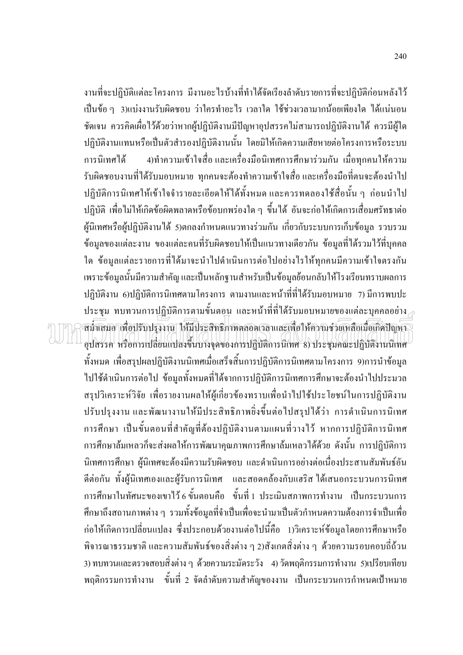ึ่งานที่จะปฏิบัติแต่ละโครงการ มีงานอะไรบ้างที่ทำได้จัดเรียงลำดับรายการที่จะปฏิบัติก่อนหลังไว้ ้เป็นข้อ ๆ 3)แบ่งงานรับผิดชอบ ว่าใครทำอะไร เวลาใด ใช้ช่วงเวลามากน้อยเพียงใด ได้แน่นอน ้ชัดเจน ควรคิดเผื่อไว้ด้วยว่าหากผู้ปฏิบัติงานมีปัญหาอุปสรรคไม่สามารถปฏิบัติงานได้ ควรมีผู้ใด ปฏิบัติงานแทนหรือเป็นตัวสำรองปฏิบัติงานนั้น โดยมิให้เกิดความเสียหายต่อโครงการหรือระบบ 4)ทำความเข้าใจสื่อ และเครื่องมือนิเทศการศึกษาร่วมกัน เมื่อทกคนให้ความ การบิเทศได้ รับผิดชอบงานที่ได้รับมอบหมาย ทุกคนจะต้องทำความเข้าใจสื่อและเครื่องมือที่ตนจะต้องนำไป ปฏิบัติการนิเทศให้เข้าใจจำรายละเอียดให้ได้ทั้งหมด และควรทดลองใช้สื่อนั้น ๆ ก่อนนำไป ปฏิบัติ เพื่อไม่ให้เกิดข้อผิดพลาดหรือข้อบกพร่องใด ๆ ขึ้นได้ อันจะก่อให้เกิดการเสื่อมศรัทธาต่อ ผู้นิเทศหรือผู้ปฏิบัติงานได้ 5)ตกลงกำหนดแนวทางร่วมกัน เกี่ยวกับระบบการเก็บข้อมูล รวบรวม ข้อมูลของแต่ละงาน ของแต่ละคนที่รับผิดชอบให้เป็นแนวทางเดียวกัน ข้อมูลที่ได้รวมไว้ที่บุคคล ใด ข้อมูลแต่ละรายการที่ได้มาจะนำไปดำเนินการต่อไปอย่างไรให้ทุกคนมีความเข้าใจตรงกัน เพราะข้อมูลนั้นมีความสำคัญ และเป็นหลักฐานสำหรับเป็นข้อมูลย้อนกลับให้โรงเรียนทราบผลการ ปฏิบัติงาน 6)ปฏิบัติการนิเทศตามโครงการ ตามงานและหน้าที่ที่ได้รับมอบหมาย 7) มีการพบปะ ประชุม ทบทวนการปฏิบัติการตามขั้นตอน และหน้าที่ที่ได้รับมอบหมายของแต่ละบุคคลอย่าง $_{\geq}$ สม้ำเสมอาเพื่อปรับปรุงงาน ให้มีประสิทธิภาพตลอดเวลาและเพื่อให้ความช่วยเหลือเมื่อเกิดปัญหา อุปสรรค หรือการเปลี่ยนแปลงขึ้นบางจุดของการปฏิบัติการนิเทศ 8) ประชุมคณะปฏิบัติงานนิเทศ ้ทั้งหมด เพื่อสรุปผลปฏิบัติงานนิเทศเมื่อเสร็จสิ้นการปฏิบัติการนิเทศตามโครงการ 9)การนำข้อมูล ไปใช้คำเนินการต่อไป ข้อมูลทั้งหมดที่ได้จากการปฏิบัติการนิเทศการศึกษาจะต้องนำไปประมวล สรุปวิเคราะห์วิจัย เพื่อรายงานผลให้ผู้เกี่ยวข้องทราบเพื่อนำไปใช้ประโยชน์ในการปฏิบัติงาน ปรับปรุงงาน และพัฒนางานให้มีประสิทธิภาพยิ่งขึ้นต่อไปสรุปได้ว่า การดำเนินการนิเทศ ึการศึกษา เป็นขั้นตอนที่สำคัญที่ต้องปฏิบัติงานตามแผนที่วางไว้ หากการปฏิบัติการนิเทศ ึการศึกษาล้มเหลวก็จะส่งผลให้การพัฒนาคุณภาพการศึกษาล้มเหลวได้ด้วย ดังนั้น การปฏิบัติการ นิเทศการศึกษา ผู้นิเทศจะต้องมีความรับผิดชอบ และดำเนินการอย่างต่อเนื่องประสานสัมพันธ์อัน ้ดีต่อกัน ทั้งผู้นิเทศเองและผู้รับการนิเทศ และสอดคล้องกับแฮริส ได้เสนอกระบวนการนิเทศ ึการศึกษาในทัศนะของเขาไว้ 6 ขั้นตอนคือ ขั้นที่ 1 ประเมินสภาพการทำงาน เป็นกระบวนการ ้ศึกษาถึงสถานภาพต่าง ๆ รวมทั้งข้อมูลที่จำเป็นเพื่อจะนำมาเป็นตัวกำหนดความต้องการจำเป็นเพื่อ ึก่อให้เกิดการเปลี่ยนแปลง ซึ่งประกอบด้วยงานต่อไปนี้คือ 1)วิเคราะห์ข้อมูลโดยการศึกษาหรือ พิจารณาธรรมชาติ และความสัมพันธ์ของสิ่งต่าง ๆ 2)สังเกตสิ่งต่าง ๆ ด้วยความรอบคอบถี่ถ้วน 3) ทบทวนและตรวจสอบสิ่งต่าง ๆ ด้วยความระมัดระวัง 4) วัดพฤติกรรมการทำงาน 5)เปรียบเทียบ ี พฤติกรรมการทำงาน ขั้นที่ 2 จัดลำดับความสำคัญของงาน เป็นกระบวนการกำหนดเป้าหมาย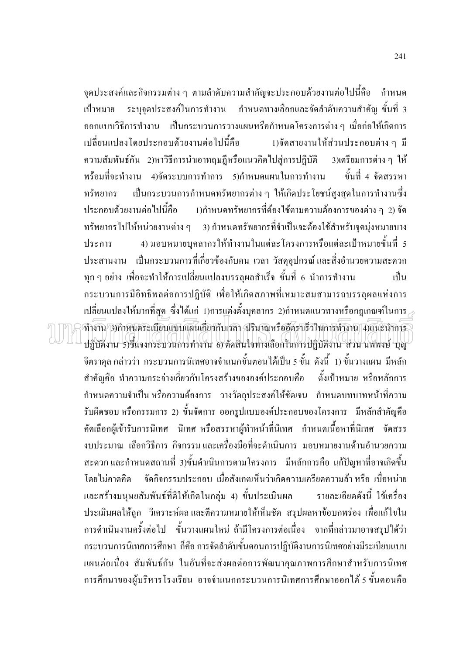จุดประสงค์และกิจกรรมต่าง ๆ ตามลำดับความสำคัญจะประกอบด้วยงานต่อไปนี้คือ กำหนด ี ระบุจุดประสงค์ในการทำงาน กำหนดทางเลือกและจัดลำดับความสำคัญ ขั้นที่ 3 เป้าหมาย ี ออกแบบวิธีการทำงาน เป็นกระบวนการวางแผนหรือกำหนดโครงการต่าง ๆ เมื่อก่อให้เกิดการ เปลี่ยนแปลงโดยประกอบด้วยงานต่อไปนี้คือ 1)ขัดสายงานให้ส่วนประกอบต่าง ๆ มี ความสัมพันธ์กัน 2)หาวิธีการนำเอาทฤษฎีหรือแนวคิดไปสู่การปฏิบัติ 3)เตรียมการต่าง ๆ ให้ ์ ขั้นที่ 4 จัดสรรหา ี พร้อมที่จะทำงาน 4)จัดระบบการทำการ 5)กำหนดแผนในการทำงาน ้ เป็นกระบวนการกำหนดทรัพยากรต่าง ๆ ให้เกิดประโยชน์สูงสุดในการทำงานซึ่ง ทรัพยากร ่<br>ประกอบด้วยงานต่อไปนี้คือ 1)กำหนดทรัพยากรที่ต้องใช้ตามความต้องการของต่าง ๆ 2) จัด ทรัพยากรไปให้หน่วยงานต่าง ๆ 3) กำหนดทรัพยากรที่จำเป็นจะต้องใช้สำหรับจุดมุ่งหมายบาง 4) มอบหมายบคลากรให้ทำงานในแต่ละโครงการหรือแต่ละเป้าหมายขั้นที่ 5 ประการ ประสานงาน เป็นกระบวนการที่เกี่ยวข้องกับคน เวลา วัสดอปกรณ์และสิ่งอำนวยความสะดวก ทุก ๆ อย่าง เพื่อจะทำให้การเปลี่ยนแปลงบรรลุผลสำเร็จ ขั้นที่ 6 นำการทำงาน เป็น ึกระบวนการมีอิทธิพลต่อการปฏิบัติ เพื่อให้เกิดสภาพที่เหมาะสมสามารถบรรลุผลแห่งการ  $\,$ เปลี่ยนแปลงให้มากที่สด ซึ่งได้แก่ 1)การแต่งตั้งบคลากร 2)กำหนดแนวทางหรือกฎเกณฑ์ในการ $\,$ ทำงาน 3)กำหนดระเบียบแบบแผนเกี่ยวกับเวลา ,ปริมาณหรืออัตราเร็วในการทำงาน |4)แนะนำการ ปฏิบัติงาน 5)ชี้แจงกระบวนการทำงาน 6) ตัดสินใจทางเลือกในการปฏิบัติงาน ส่วน นพพงษ์ บุญ ้จิตราดุล กล่าวว่า กระบวนการนิเทศอาจจำแนกขั้นตอนได้เป็น 5 ขั้น ดังนี้ 1) ขั้นวางแผน มีหลัก สำคัญคือ ทำความกระจ่างเกี่ยวกับโครงสร้างขององค์ประกอบคือ ์ตั้งเป้าหมาย หรือหลักการ ้กำหนดความจำเป็น หรือความต้องการ วางวัตถุประสงค์ให้ชัดเจน กำหนดบทบาทหน้าที่ความ รับผิดชอบ หรือกรรมการ 2) ขั้นจัดการ ออกรูปแบบองค์ประกอบของโครงการ มีหลักสำคัญคือ ้คัดเลือกผู้เข้ารับการนิเทศ นิเทศ หรือสรรหาผู้ทำหน้าที่นิเทศ กำหนดเนื้อหาที่นิเทศ จัดสรร งบประมาณ เลือกวิธีการ กิจกรรมและเครื่องมือที่จะคำเนินการ มอบหมายงานค้านอำนวยความ ี สะดวก และกำหนดสถานที่ 3)ขั้นดำเนินการตามโครงการ มีหลักการคือ แก้ปัญหาที่อาจเกิดขึ้น โดยไม่คาดคิด จัดกิจกรรมประกอบ เมื่อสังเกตเห็นว่าเกิดความเครียดความล้า หรือ เบื่อหน่าย และสร้างมนุษยสัมพันธ์ที่ดีให้เกิดในกลุ่ม 4) ขั้นประเมินผล รายละเอียดดังนี้ ใช้เครื่อง ประเมินผลให้ถูก วิเคราะห์ผล และตีความหมายให้เห็นชัด สรุปผลหาข้อบกพร่อง เพื่อแก้ไขใน ี การคำเนินงานครั้งต่อไป ขั้นวางแผนใหม่ ถ้ามีโครงการต่อเนื่อง จากที่กล่าวมาอาจสรุปได้ว่า ึกระบวนการนิเทศการศึกษา ก็คือ การจัดลำดับขั้นตอนการปฏิบัติงานการนิเทศอย่างมีระเบียบแบบ แผนต่อเนื่อง สัมพันธ์กัน ในอันที่จะส่งผลต่อการพัฒนาคุณภาพการศึกษาสำหรับการนิเทศ ึการศึกษาของผู้บริหารโรงเรียน อาจจำแนกกระบวนการนิเทศการศึกษาออกได้ 5 ขั้นตอนคือ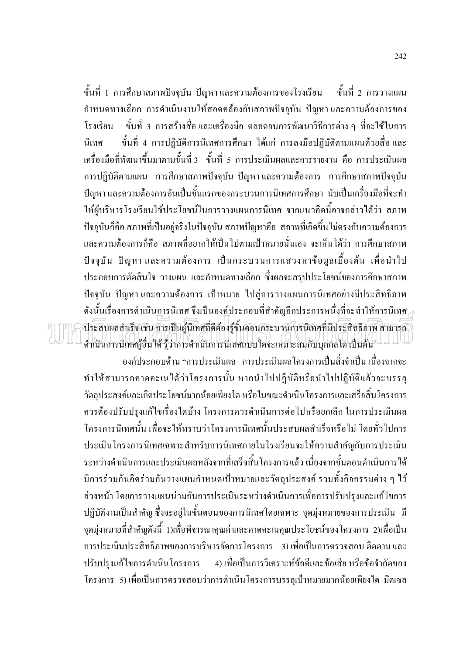ขั้นที่ 1 การศึกษาสภาพปัจจุบัน ปัญหาและความต้องการของโรงเรียน ์ ขั้นที่ 2 การวางแผน ้กำหนดทางเลือก การดำเนินงานให้สอดคล้องกับสภาพปัจจุบัน ปัญหาและความต้องการของ ขั้นที่ 3 การสร้างสื่อและเครื่องมือ ตลอดจนการพัฒนาวิธีการต่าง ๆ ที่จะใช้ในการ โรงเรียน ขั้นที่ 4 การปฏิบัติการนิเทศการศึกษา ได้แก่ การลงมือปฏิบัติตามแผนด้วยสื่อและ นิเทศ ้ เครื่องมือที่พัฒนาขึ้นมาตามขั้นที่ 3 ขั้นที่ 5 การประเมินผลและการรายงาน คือ การประเมินผล ึการปฏิบัติตามแผน การศึกษาสภาพปัจจุบัน ปัญหาและความต้องการ การศึกษาสภาพปัจจุบัน ้ปัญหา และความต้องการอันเป็นขั้นแรกของกระบวนการนิเทศการศึกษา นับเป็นเครื่องมือที่จะทำ ให้ผู้บริหารโรงเรียนใช้ประโยชน์ในการวางแผนการนิเทศ จากแนวคิดนี้อาจกล่าวได้ว่า สภาพ ้ ปัจจุบันก็คือ สภาพที่เป็นอยู่จริงในปัจจุบัน สภาพปัญหาคือ สภาพที่เกิดขึ้นไม่ตรงกับความต้องการ และความต้องการก็คือ สภาพที่อยากให้เป็นไปตามเป้าหมายนั่นเอง จะเห็นได้ว่า การศึกษาสภาพ ปัจจุบัน ปัญหาและความต้องการ เป็นกระบวนการแสวงหาข้อมูลเบื้องต้น เพื่อนำไป ประกอบการตัดสินใจ วางแผน และกำหนดทางเลือก ซึ่งผลจะสรปประโยชน์ของการศึกษาสภาพ ปัจจุบัน ปัญหาและความต้องการ เป้าหมาย ไปสู่การวางแผนการนิเทศอย่างมีประสิทธิภาพ ดังนั้นเรื่องการดำเนินการนิเทศ จึงเป็นองค์ประกอบที่สำคัญอีกประการหนึ่งที่จะทำให้การนิเทศ $\scriptstyle\geqslant$ ประสบผลสำเร็จ เช่น การเป็นผู้นิเทศที่ดีต้องรู้ขั้นตอนกระบวนการนิเทศที่มีประสิทธิภาพ สามารถ ดำเนินการนิเทศผู้อื่นได้ รู้ว่าการดำเนินการนิเทศแบบใคจะเหมาะสมกับบุคคลใด เป็นต้น

้องค์ประกอบด้าน "การประเมินผล การประเมินผลโครงการเป็นสิ่งจำเป็น เนื่องจากจะ ทำให้สามารถคาดคะเนได้ว่าโครงการนั้น หากนำไปปฏิบัติหรือนำไปปฏิบัติแล้วจะบรรลุ วัตถุประสงค์และเกิดประโยชน์มากน้อยเพียงใด หรือในขณะดำเนินโครงการและเสร็จสิ้นโครงการ ้ควรต้องปรับปรุงแก้ไขเรื่องใดบ้าง โครงการควรดำเนินการต่อไปหรือยกเลิก ในการประเมินผล โครงการนิเทศนั้น เพื่อจะให้ทราบว่าโครงการนิเทศนั้นประสบผลสำเร็จหรือไม่ โดยทั่วไปการ <u> ประเมินโครงการนิเทศเฉพาะสำหรับการนิเทศภายในโรงเรียนจะให้ความสำคัญกับการประเมิน</u> ระหว่างคำเนินการและประเมินผลหลังจากที่เสร็จสิ้นโครงการแล้ว เนื่องจากขั้นตอนคำเนินการได้ ้มีการร่วมกันคิดร่วมกันวางแผนกำหนดเป้าหมายและวัตถุประสงค์ รวมทั้งกิจกรรมต่าง ๆ ไว้ ล่วงหน้า โดยการวางแผนน่วมกันการประเมินระหว่างดำเนินการเพื่อการปรับปรุงและแก้ไขการ ปฏิบัติงานเป็นสำคัญ ซึ่งจะอยู่ในขั้นตอนของการนิเทศโดยเฉพาะ จุดมุ่งหมายของการประเมิน มี ึ่งคมุ่งหมายที่สำคัญดังนี้ 1)เพื่อพิจารณาคุณค่าและคาดคะเนคุณประโยชน์ของโครงการ 2)เพื่อเป็น ี การประเมินประสิทธิภาพของการบริหารจัดการโครงการ 3) เพื่อเป็นการตรวจสอบ ติดตาม และ ปรับปรุงแก้ไขการคำเนินโครงการ 4) เพื่อเป็นการวิเคราะห์ข้อดีและข้อเสีย หรือข้อจำกัดของ โครงการ 5) เพื่อเป็นการตรวจสอบว่าการดำเนินโครงการบรรลเป้าหมายมากน้อยเพียงใด มิตเซล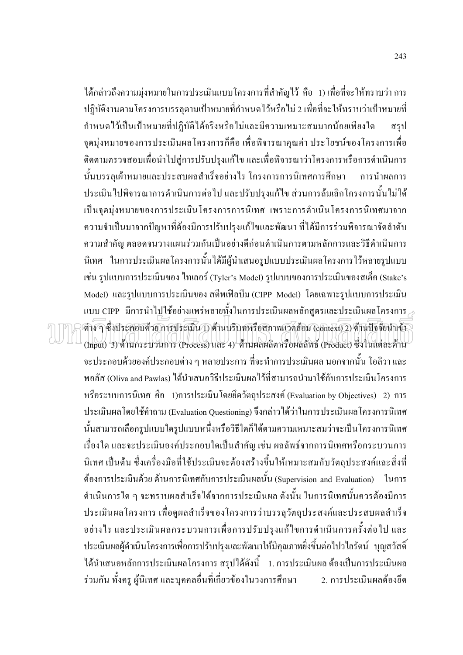ใด้กล่าวถึงความมุ่งหมายในการประเมินแบบโครงการที่สำคัญไว้ คือ 1) เพื่อที่จะให้ทราบว่า การ ปฏิบัติงานตามโครงการบรรลุตามเป้าหมายที่กำหนดไว้หรือไม่ 2 เพื่อที่จะให้ทราบว่าเป้าหมายที่ ้กำหนดใว้เป็นเป้าหมายที่ปฏิบัติได้จริงหรือไม่และมีความเหมาะสมมากน้อยเพียงใด สรป จุดมุ่งหมายของการประเมินผลโครงการก็คือ เพื่อพิจารณาคุณค่า ประโยชน์ของโครงการเพื่อ ้ติดตามตรวจสอบเพื่อนำไปสู่การปรับปรุงแก้ไข และเพื่อพิจารณาว่าโครงการหรือการคำเนินการ นั้นบรรลุเผ้าหมายและประสบผลสำเร็จอย่างไร โครงการการนิเทศการศึกษา การนำผลการ ประเมินไปพิจารณาการคำเนินการต่อไป และปรับปรุงแก้ไข ส่วนการล้มเลิกโครงการนั้นไม่ได้ ้เป็นจุดมุ่งหมายของการประเมินโครงการการนิเทศ เพราะการดำเนินโครงการนิเทศมาจาก ้ ความจำเป็นมาจากปัญหาที่ต้องมีการปรับปรุงแก้ไขและพัฒนา ที่ได้มีการร่วมพิจารณาจัดลำดับ ้ความสำคัญ ตลอดจนวางแผนร่วมกันเป็นอย่างดีก่อนดำเนินการตามหลักการและวิธีดำเนินการ ้นิเทศ ในการประเมินผลโครงการนั้นได้มีผู้นำเสนอรูปแบบประเมินผลโครงการไว้หลายรูปแบบ ้เช่น รูปแบบการประเมินของ ใทเลอร์ (Tyler's Model) รูปแบบของการประเมินของสเต็ก (Stake's Model) และรูปแบบการประเมินของ สตีพเฟิลบีม (CIPP Model) โดยเฉพาะรูปแบบการประเมิน แบบ CIPP มีการนำไปใช้อย่างแพร่หลายทั้งในการประเมินผลหลักสูตรและประเมินผลโครงการ $_{\geq}$ ต่าง ๆ ซึ่งประกอบด้วยการประเมิน 1) ด้านบริบทหรือสภาพเวลล้อม (context) 2) ด้านปัจจัยนำเข้า (Input) 3) ด้านกระบวนการ (Process) และ 4) ด้านผลผลิตหรือผลลัพธ์ (Product) ซึ่งในแต่ละด้าน ้จะประกอบด้วยองค์ประกอบต่าง ๆ หลายประการ ที่จะทำการประเมินผล นอกจากนั้น โอลิวา และ พอลัส (Oliva and Pawlas) ใค้นำเสนอวิธีประเมินผลใว้ที่สามารถนำมาใช้กับการประเมินโครงการ หรือระบบการนิเทศ คือ 1)การประเมินโดยยึดวัตถุประสงค์ (Evaluation by Objectives) 2) การ ประเมินผลโดยใช้คำถาม (Evaluation Questioning) จึงกล่าวได้ว่าในการประเมินผลโครงการนิเทศ ้นั้นสามารถเลือกรูปแบบใครูปแบบหนึ่งหรือวิธีใคก็ได้ตามความเหมาะสมว่าจะเป็นโครงการนิเทศ เรื่องใด และจะประเมินองค์ประกอบใดเป็นสำคัญ เช่น ผลลัพธ์จากการนิเทศหรือกระบวนการ นิเทศ เป็นต้น ซึ่งเครื่องมือที่ใช้ประเมินจะต้องสร้างขึ้นให้เหมาะสมกับวัตถุประสงค์และสิ่งที่ ้ต้องการประเมินด้วย ด้านการนิเทศกับการประเมินผลนั้น (Supervision and Evaluation) ในการ ้คำเนินการใค ๆ จะทราบผลสำเร็จได้จากการประเมินผล ดังนั้น ในการนิเทศนั้นควรต้องมีการ ประเมินผลโครงการ เพื่อดูผลสำเร็จของโครงการว่าบรรลุวัตถุประสงค์และประสบผลสำเร็จ ้อย่างไร และประเมินผลกระบวนการเพื่อการปรับปรุงแก้ไขการคำเนินการครั้งต่อไป และ ี ประเมินผลผู้คำเนินโครงการเพื่อการปรับปรุงและพัฒนาให้มีคุณภาพยิ่งขึ้นต่อไปวไลรัตน์ บุญสวัสดิ์ ได้นำเสนอหลักการประเมินผลโครงการ สรุปได้ดังนี้ 1. การประเมินผล ต้องเป็นการประเมินผล ร่วมกัน ทั้งครู ผู้นิเทศ และบุคคลอื่นที่เกี่ยวข้องในวงการศึกษา 2. การประเมินผลต้องยึด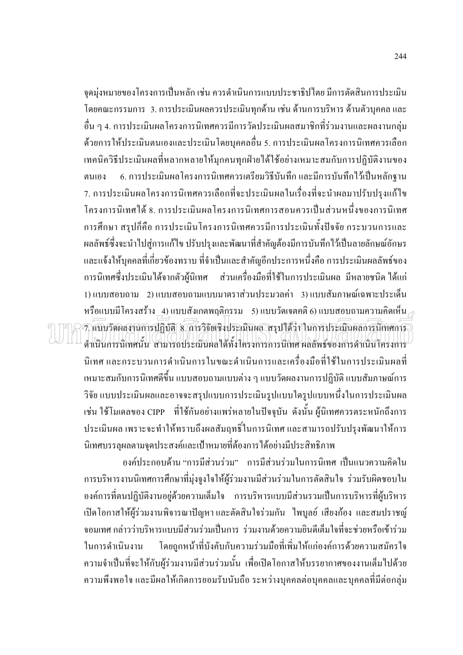จุดมุ่งหมายของโครงการเป็นหลัก เช่น ควรดำเนินการแบบประชาธิปไตย มีการตัดสินการประเมิน โดยคณะกรรมการ 3. การประเมินผลควรประเมินทุกด้าน เช่น ด้านการบริหาร ด้านตัวบุคคล และ ้ อื่น ๆ 4. การประเมินผลโครงการนิเทศควรมีการวัดประเมินผลสมาชิกที่ร่วมงานและผลงานกลุ่ม ี ค้วยการให้ประเมินตนเองและประเมินโดยบุคคลอื่น 5. การประเมินผลโครงการนิเทศควรเลือก ้ เทคนิควิธีประเมินผลที่หลากหลายให้มุกคนทุกฝ่ายได้ใช้อย่างเหมาะสมกับการปฏิบัติงานของ 6. การประเมินผลโครงการนิเทศควรเตรียมวิธีบันทึก และมีการบันทึกไว้เป็นหลักฐาน ตนเกง ่ 7. การประเมินผลโครงการนิเทศควรเลือกที่จะประเมินผลในเรื่องที่จะนำผลมาปรับปรงแก้ไข โครงการนิเทศได้ 8. การประเมินผลโครงการนิเทศการสอนควรเป็นส่วนหนึ่งของการนิเทศ ึการศึกษา สรุปก็คือ การประเมินโครงการนิเทศควรมีการประเมินทั้งปัจจัย กระบวนการและ ผลลัพธ์ซึ่งจะนำไปสู่การแก้ไข ปรับปรุงและพัฒนาที่สำคัญต้องมีการบันทึกไว้เป็นลายลักษณ์อักษร และแจ้งให้บุคคลที่เกี่ยวข้องทราบ ที่จำเป็นและสำคัญอีกประการหนึ่งคือ การประเมินผลลัพธ์ของ การนิเทศซึ่งประเมินได้จากตัวผ้นิเทศ ้ ส่วนเครื่องมือที่ใช้ในการประเมินผล มีหลายชนิด ได้แก่ 1) แบบสอบถาม 2) แบบสอบถามแบบมาตราส่วนประมวลค่ำ 3) แบบสัมภาษณ์เฉพาะประเด็น หรือแบบมีโครงสร้าง 4) แบบสังเกตพฤติกรรม 5) แบบวัดเจตคติ 6) แบบสอบถามความคิดเห็น  $_{\geq}$ 7. แบบวัดผลงานการปฏิบัติ 8. การวิจัยเชิงประเมินผล สรุปได้ว่า ในการประเมินผลการนี้เทศการ ดำเนินการนิเทศนั้น สามารถประเมินผลได้ทั้งโครงการการนิเทศผลลัพธ์ของการดำเนินโครงการ นิเทศ และกระบวนการดำเนินการในขณะดำเนินการและเครื่องมือที่ใช้ในการประเมินผลที่ ่ เหมาะสมกับการนิเทศดีขึ้น แบบสอบถามแบบต่าง ๆ แบบวัดผลงานการปฏิบัติ แบบสัมภาษณ์การ ้วิจัย แบบประเมินผลและอาจจะสรุปแบบการประเมินรูปแบบใครูปแบบหนึ่งในการประเมินผล ้เช่น ใช้โมเคลของ CIPP - ที่ใช้กันอย่างแพร่หลายในปัจจุบัน ดังนั้น ผู้นิเทศควรตระหนักถึงการ ประเมินผล เพราะจะทำให้ทราบถึงผลสัมฤทธิ์ในการนิเทศ และสามารถปรับปรุงพัฒนาให้การ นิเทศบรรลผลตามจดประสงค์และเป้าหมายที่ต้องการได้อย่างมีประสิทธิภาพ

องค์ประกอบด้าน "การมีส่วนร่วม" การมีส่วนร่วมในการนิเทศ เป็นแนวความคิดใน การบริหารงานนิเทศการศึกษาที่มุ่งจูงใจให้ผู้ร่วมงานมีส่วนร่วมในการตัดสินใจ ร่วมรับผิดชอบใน ้องค์การที่ตนปฏิบัติงานอยู่ด้วยความเต็มใจ การบริหารแบบมีส่วนรวมเป็นการบริหารที่ผู้บริหาร เปิดโอกาสให้ผู้ร่วมงานพิจารณาปัญหา และตัดสินใจร่วมกัน "ไพบูลย์ เสียงก้อง และสมปราชญ์ ้ จอมเทศ กล่าวว่าบริหารแบบมีส่วนร่วมเป็นการ ร่วมงานด้วยความยินดีเต็มใจที่จะช่วยหรือเข้าร่วม โดยถูกหน้าที่บังคับกับความร่วมมือที่เพิ่มให้แก่องค์การด้วยความสมัครใจ ในการดำเนินงาน ้ความจำเป็นที่จะให้กับผู้ร่วมงานมีส่วนร่วมนั้น เพื่อเปิดโอกาสให้บรรยากาศของงานเต็มไปด้วย ้ความพึงพอใจ และมีผลให้เกิดการยอมรับนับถือ ระหว่างบุคคลต่อบุคคลและบุคคลที่มีต่อกลุ่ม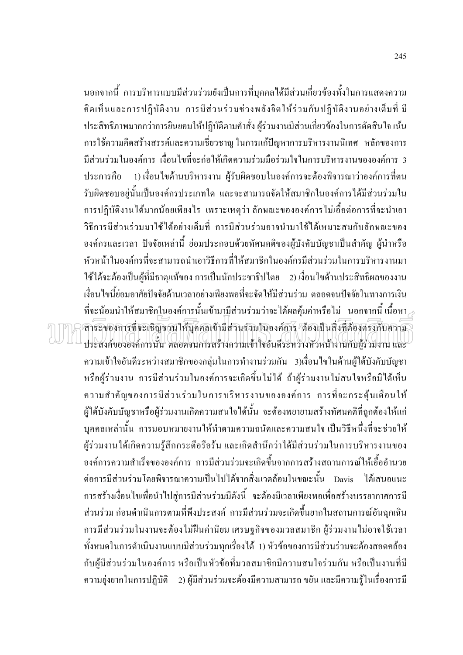นอกจากนี้ การบริหารแบบมีส่วนร่วมยังเป็นการที่บุคคลได้มีส่วนเกี่ยวข้องทั้งในการแสดงความ ้คิดเห็นและการปฏิบัติงาน การมีส่วนร่วมช่วงพลังจิตให้ร่วมกันปฏิบัติงานอย่างเต็มที่ มี ิ ประสิทธิภาพมากกว่าการยินยอมให้ปฏิบัติตามคำสั่ง ผู้ร่วมงานมีส่วนเกี่ยวข้องในการตัดสินใจ เน้น ี การใช้ความคิดสร้างสรรค์และความเชี่ยวชาญ ในการแก้ปัญหาการบริหารงานนิเทศ หลักของการ ้มีส่วนร่วมในองค์การ เงื่อนไขที่จะก่อให้เกิดความร่วมมือร่วมใจในการบริหารงานขององค์การ 3 1) เงื่อนไขด้านบริหารงาน ผู้รับผิดชอบในองค์การจะต้องพิจารณาว่าองค์การที่ตน ประการคือ ้รับผิดชอบอย่นั้นเป็นองค์กรประเภทใด และจะสามารถจัดให้สมาชิกในองค์การได้มีส่วนร่วมใน ึการปฏิบัติงานใค้มากน้อยเพียงไร เพราะเหตุว่า ลักษณะขององค์การไม่เอื้อต่อการที่จะนำเอา ้วิธีการมีส่วนร่วมมาใช้ได้อย่างเต็มที่ การมีส่วนร่วมอาจนำมาใช้ได้เหมาะสมกับลักษณะของ ้องค์กรและเวลา ปัจจัยเหล่านี้ ย่อมประกอบด้วยทัศนคติของผู้บังคับบัญชาเป็นสำคัญ ผู้นำหรือ หัวหน้าในองค์กรที่จะสามารถนำเอาวิธีการที่ให้สมาชิกในองค์กรมีส่วนร่วมในการบริหารงานมา ใช้ได้จะต้องเป็นผู้ที่มีธาตแท้ของ การเป็นนักประชาธิปไตย 2) เงื่อนไขด้านประสิทธิผลของงาน เงื่อนไขนี้ย่อมอาศัยปัจจัยด้านเวลาอย่างเพียงพอที่จะจัดให้มีส่วนร่วม ตลอดจนปัจจัยในทางการเงิน ที่จะน้อมนำให้สมาชิกในองค์การนั้นเข้ามามีส่วนร่วมว่าจะได้ผลคุ้มค่าหรือไม่ นอกจากนี้เนื้อหา $\scriptstyle\mathcal{A}$ สาระบองการที่จะเชิญชวนให้บุคคลเข้ามีส่วนร่วมในองค์การ "ต้องเป็นสิ่งที่ต้องตรงกับความ ประสงค์ขององค์การนั้น ตลอดจนการสร้างความเข้าใจอันดีระหว่างหัวหน้างานกับผู้ร่วมงาน และ ้ความเข้าใจอันดีระหว่างสมาชิกของกลุ่มในการทำงานร่วมกัน 3)เงื่อนไขในด้านผู้ใต้บังคับบัญชา หรือผู้ร่วมงาน การมีส่วนร่วมในองค์การจะเกิดขึ้นไม่ได้ ถ้าผู้ร่วมงานไม่สนใจหรือมิได้เห็น ้ความสำคัญของการมีส่วนร่วมในการบริหารงานขององค์การ การที่จะกระตุ้นเตือนให้ ผู้ใต้บังคับบัญชาหรือผู้ร่วมงานเกิดความสนใจได้นั้น จะต้องพยายามสร้างทัศนคติที่ถูกต้องให้แก่ ิบุคคลเหล่านั้น การมอบหมายงานให้ทำตามความถนัดและความสนใจ เป็นวิธีหนึ่งที่จะช่วยให้ ผู้ร่วมงานใด้เกิดความรู้สึกกระตือรือร้น และเกิดสำนึกว่าใด้มีส่วนร่วมในการบริหารงานของ ้องค์การความสำเร็จขององค์การ การมีส่วนร่วมจะเกิดขึ้นจากการสร้างสถานการณ์ให้เอื้ออำนวย ต่อการมีส่วนร่วมโดยพิจารณาความเป็นไปได้จากสิ่งแวดล้อมในขณะนั้น Davis ได้เสนอแนะ ึการสร้างเงื่อนไขเพื่อนำไปสู่การมีส่วนร่วมมีดังนี้ จะต้องมีเวลาเพียงพอเพื่อสร้างบรรยากาศการมี ้ส่วนร่วม ก่อนคำเนินการตามที่พึงประสงค์ การมีส่วนร่วมจะเกิดขึ้นยากในสถานการณ์อันฉุกเฉิน ึการมีส่วนร่วมในงานจะต้องไม่ฝืนค่านิยม เศรษฐกิจของมวลสมาชิก ผู้ร่วมงานไม่อาจใช้เวลา ้ทั้งหมดในการดำเนินงานแบบมีส่วนร่วมทุกเรื่องใด้ 1) หัวข้อของการมีส่วนร่วมจะต้องสอดคล้อง ้กับผู้มีส่วนร่วมในองค์การ หรือเป็นหัวข้อที่มวลสมาชิกมีความสนใจร่วมกัน หรือเป็นงานที่มี ี ความยุ่งยากในการปฏิบัติ 2) ผู้มีส่วนร่วมจะต้องมีความสามารถ ขยัน และมีความรู้ในเรื่องการมี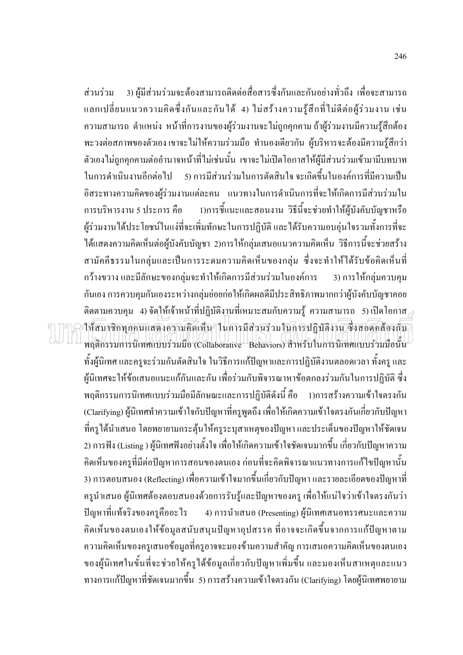3) ผู้มีส่วนร่วมจะต้องสามารถติดต่อสื่อสารซึ่งกันและกันอย่างทั่วถึง เพื่อจะสามารถ ส่วนร่วม แลกเปลี่ยนแนวความคิดซึ่งกันและกันใด้ 4) ไม่สร้างความรู้สึกที่ไม่ดีต่อผู้ร่วมงาน เช่น ้ความสามารถ ตำแหน่ง หน้าที่การงานของผู้ร่วมงานจะไม่ถูกคุกคาม ถ้าผู้ร่วมงานมีความรู้สึกต้อง ้พะวงต่อสภาพของตัวเอง เขาจะไม่ให้ความร่วมมือ ทำนองเดียวกัน ผู้บริหารจะต้องมีความรู้สึกว่า ้ตัวเองไม่ถูกคุกคามต่ออำนาจหน้าที่ไม่เช่นนั้น เขาจะไม่เปิดโอกาสให้ผู้มีส่วนร่วมเข้ามามีบทบาท ่ 5) การมีส่วนร่วมในการตัดสินใจ จะเกิดขึ้นในองค์การที่มีความเป็น ในการดำเนินงานอีกต่อไป อิสระทางความคิดของผู้ร่วมงานแต่ละคน แนวทางในการคำเนินการที่จะให้เกิดการมีส่วนร่วมใน การบริหารงาน 5 ประการ คือ 1)การชี้แนะและสอนงาน วิธีนี้จะช่วยทำให้ผู้บังคับบัญชาหรือ ผู้ร่วมงานได้ประโยชน์ในแง่ที่จะเพิ่มทักษะในการปฏิบัติ และได้รับความอบอุ่นใจรวมทั้งการที่จะ ใด้แสดงความคิดเห็นต่อผู้บังคับบัญชา 2)การให้กลุ่มเสนอแนวความคิดเห็น วิธีการนี้จะช่วยสร้าง สามัคคีธรรมในกล่มและเป็นการระคมความคิดเห็นของกล่ม ซึ่งจะทำให้ได้รับข้อคิดเห็นที่ ึกว้างขวาง และมีลักษะของกล่มจะทำให้เกิดการมีส่วนร่วมในองค์การ 3) การให้กล่มควบคม ้กันเอง การควบคุมกันเองระหว่างกลุ่มย่อยก่อให้เกิดผลดีมีประสิทธิภาพมากกว่าผู้บังคับบัญชาคอย คิดตามควบคุม 4) จัด<u>ใ</u>ห้เจ้าหน้าที่ปฏิบัติงานที่เหมาะสมกับความรู้ ความสามารถ 5)เปิดโอกาส $_{\geq}$ าห้สมาชิกทุกคนแสดงความคิดเห็น ในการมีส่วนร่วมในการปฏิบัติงาน ซึ่งสอดคล้องกับ พฤติกรรมการนิเทศแบบร่วมมือ (Collaborative Behaviors) สำหรับในการนิเทศแบบร่วมมือนั้น ้ทั้งผู้นิเทศ และครูจะร่วมกันตัดสินใจ ในวิธีการแก้ปัญหาและการปฏิบัติงานตลอดเวลา ทั้งครู และ ผู้นิเทศจะให้ข้อเสนอแนะแก้กันและกัน เพื่อร่วมกับพิจารณาหาข้อตกลงร่วมกันในการปฏิบัติ ซึ่ง พฤติกรรมการนิเทศแบบร่วมมือมีลักษณะและการปฏิบัติดังนี้ คือ 1)การสร้างความเข้าใจตรงกัน (Clarifying) ผู้นิเทศทำความเข้าใจกับปัญหาที่ครูพูดถึง เพื่อให้เกิดความเข้าใจตรงกันเกี่ยวกับปัญหา ที่ครูได้นำเสนอ โดยพยายามกระตุ้นให้ครูระบุสาเหตุของปัญหา และประเด็นของปัญหาให้ชัดเจน 2) การฟัง (Listing ) ผู้นิเทศฟังอย่างตั้งใจ เพื่อให้เกิดความเข้าใจชัดเจนมากขึ้น เกี่ยวกับปัญหาความ ้คิดเห็นของครูที่มีต่อปัญหาการสอนของตนเอง ก่อนที่จะคิดพิจารณาแนวทางการแก้ไขปัญหานั้น 3) การตอบสนอง (Reflecting) เพื่อความเข้าใจมากขึ้นเกี่ยวกับปัญหา และรายละเอียดของปัญหาที่ ้ครูนำเสนอ ผู้นิเทศต้องตอบสนองด้วยการรับรู้และปัญหาของครู เพื่อให้แน่ใจว่าเข้าใจตรงกันว่า 4) การนำเสนอ (Presenting) ผู้นิเทศเสนอทรรศนะและความ ปัญหาที่แท้จริงของครูคืออะไร ้คิดเห็นของตนเองให้ข้อมูลสนับสนุนปัญหาอุปสรรค ที่อาจจะเกิดขึ้นจากการแก้ปัญหาตาม ้ความคิดเห็นของครูเสนอข้อมูลที่ครูอาจจะมองข้ามความสำคัญ การเสนอความคิดเห็นของตนเอง ี ของผู้นิเทศในขั้นที่จะช่วยให้ครูได้ข้อมูลเกี่ยวกับปัญหาเพิ่มขึ้น และมองเห็นสาเหตุและแนว ทางการแก้ปัญหาที่ชัดเจนมากขึ้น 5) การสร้างความเข้าใจตรงกัน (Clarifying) โดยผู้นิเทศพยายาม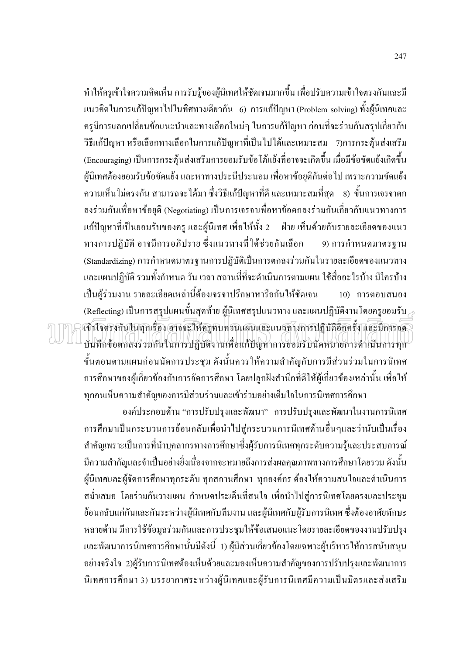ี ทำให้ครูเข้าใจความคิดเห็น การรับรู้ของผู้นิเทศให้ชัดเจนมากขึ้น เพื่อปรับความเข้าใจตรงกันและมี แนวคิดในการแก้ปัญหาไปในทิศทางเดียวกัน 6) การแก้ปัญหา (Problem solving) ทั้งผู้นิเทศและ ้ครูมีการแลกเปลี่ยนข้อแนะนำและทางเลือกใหม่ๆ ในการแก้ปัญหา ก่อนที่จะร่วมกันสรุปเกี่ยวกับ วิธีแก้ปัญหา หรือเลือกทางเลือกในการแก้ปัญหาที่เป็นไปได้และเหมาะสม 7)การกระตุ้นส่งเสริม (Encouraging) เป็นการกระต้นส่งเสริมการยอมรับข้อโต้แย้งที่อาจจะเกิดขึ้น เมื่อมีข้อขัดแย้งเกิดขึ้น ผู้นิเทศต้องยอมรับข้อขัดแย้ง และหาทางประนีประนอม เพื่อหาข้อยุติกันต่อไป เพราะความขัดแย้ง ี ความเห็นไม่ตรงกัน สามารถจะได้มา ซึ่งวิธีแก้ปัญหาที่ดี และเหมาะสมที่สด 8) ขั้นการเจรจาตก ิลงร่วมกันเพื่อหาข้อยุติ (Negotiating) เป็นการเจรจาเพื่อหาข้อตกลงร่วมกันเกี่ยวกับแนวทางการ แก้ปัญหาที่เป็นยอมรับของครู และผู้นิเทศ เพื่อให้ทั้ง 2 ฝ่าย เห็นด้วยกับรายละเอียดของแนว ทางการปฏิบัติ อาจมีการอภิปราย ซึ่งแนวทางที่ได้ช่วยกันเลือก 9) การกำหนดมาตรจาน (Standardizing) การกำหนดมาตรฐานการปฏิบัติเป็นการตกลงร่วมกันในรายละเอียดของแนวทาง ้ และแผนปฏิบัติ รวมทั้งกำหนด วัน เวลา สถานที่ที่จะดำเนินการตามแผน ใช้สื่ออะไรบ้าง มีใครบ้าง เป็นผู้ร่วมงาน รายละเอียดเหล่านี้ต้องเจรจาปรึกษาหารือกันให้ชัดเจน 10) การตอบสนอง (Reflecting) เป็นการสรุปแผนขั้นสุดท้าย ผู้นิเทศสรุปแนวทาง และแผนปฏิบัติงาน โดยครูยอมรับ  $\geq$ เข้าโจตรงกันในทุกเรื่อง อาจจะให้ครูทบทวนแผนและแนวทางการปฏิบัติอีกครั้ง และมีการจด บันทึกข้อตกลงร่วมกันในการปฏิบัติงานเพื่อแก้ปัญหาการยอมรับนัดหมายการดำเนินการทุก ้ขั้นตอนตามแผนก่อนนัดการประชุม ดังนั้นควรให้ความสำคัญกับการมีส่วนร่วมในการนิเทศ ึการศึกษาของผู้เกี่ยวข้องกับการจัดการศึกษา โดยปลูกฝังสำนึกที่ดีให้ผู้เกี่ยวข้องเหล่านั้น เพื่อให้ ทุกคนเห็นความสำคัญของการมีส่วนร่วมและเข้าร่วมอย่างเต็มใจในการนิเทศการศึกษา

้องค์ประกอบด้าน "การปรับปรุงและพัฒนา" การปรับปรุงและพัฒนาในงานการนิเทศ การศึกษาเป็นกระบวนการย้อนกลับเพื่อนำไปสู่กระบวนการนิเทศด้านอื่นๆและว่านับเป็นเรื่อง ี สำคัญเพราะเป็นการที่นำบุคลากรทางการศึกษาซึ่งผู้รับการนิเทศทุกระดับความรู้และประสบการณ์ ้มีความสำคัญและจำเป็นอย่างยิ่งเนื่องจากจะหมายถึงการส่งผลคุณภาพทางการศึกษาโดยรวม ดังนั้น ผู้นิเทศและผู้จัดการศึกษาทุกระดับ ทุกสถานศึกษา ทุกองค์กร ต้องให้ความสนใจและดำเนินการ ิสม่ำเสมอ โดยร่วมกันวางแผน กำหนดประเด็นที่สนใจ เพื่อนำไปสู่การนิเทศโดยตรงและประชุม ย้อนกลับแก่กันและกันระหว่างผู้นิเทศกับทีมงาน และผู้นิเทศกับผู้รับการนิเทศ ซึ่งต้องอาศัยทักษะ หลายด้าน มีการใช้ข้อมูลร่วมกันและการประชุมให้ข้อเสนอแนะโดยรายละเอียดของงานปรับปรุง และพัฒนาการนิเทศการศึกษานั้นมีดังนี้ 1) ผู้มีส่วนเกี่ยวข้องโดยเฉพาะผู้บริหารให้การสนับสนุน ้อย่างจริงใจ 2)ผู้รับการนิเทศต้องเห็นด้วยและมองเห็นความสำคัญของการปรับปรุงและพัฒนาการ นิเทศการศึกษา 3) บรรยากาศระหว่างผู้นิเทศและผู้รับการนิเทศมีความเป็นมิตรและส่งเสริม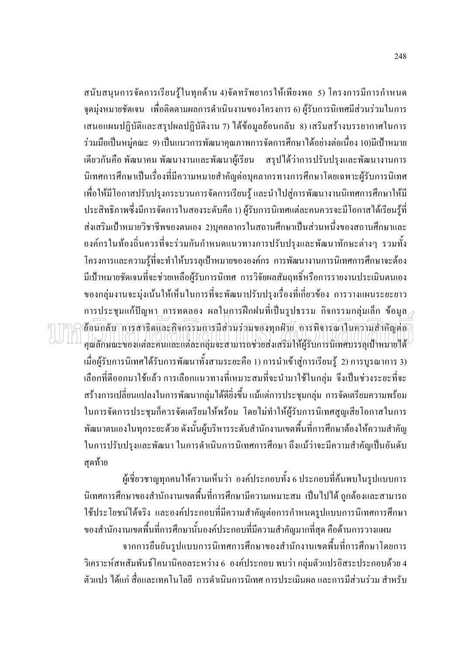ิสนับสนุนการจัดการเรียนรู้ในทุกด้าน 4)จัดทรัพยากรให้เพียงพอ 5) โครงการมีการกำหนด ึ่งุดมุ่งหมายชัดเจน เพื่อติดตามผลการคำเนินงานของโครงการ 6) ผู้รับการนิเทศมีส่วนร่วมในการ เสนอแผนปฏิบัติและสรุปผลปฏิบัติงาน 7) ใด้ข้อมูลย้อนกลับ 8) เสริมสร้างบรรยากาศในการ ้ร่วมมือเป็นหมู่คณะ 9) เป็นแนวการพัฒนาคุณภาพการจัดการศึกษาได้อย่างต่อเนื่อง 10)มีเป้าหมาย เดียวกันคือ พัฒนาคน พัฒนางานและพัฒนาผู้เรียน สรุปใด้ว่าการปรับปรุงและพัฒนางานการ นิเทศการศึกษาเป็นเรื่องที่มีความหมายสำคัญต่อบุคลากรทางการศึกษาโดยเฉพาะผู้รับการนิเทศ ้เพื่อให้มีโอกาสปรับปรุงกระบวนการจัดการเรียนรู้ และนำไปสู่การพัฒนางานนิเทศการศึกษาให้มี ี ประสิทธิภาพซึ่งมีการจัดการในสองระดับคือ 1) ผู้รับการนิเทศแต่ละคนควรจะมีโอกาสใด้เรียนรู้ที่ ้ส่งเสริมเป้าหมายวิชาชีพของตนเอง 2)บุคคลากรในสถานศึกษาเป็นส่วนหนึ่งของสถานศึกษาและ ้องค์กรในท้องถิ่นควรที่จะร่วมกันกำหนดแนวทางการปรับปรุงและพัฒนาทักษะต่างๆ รวมทั้ง โครงการและความรู้ที่จะทำให้บรรลุเป้าหมายขององค์กร การพัฒนางานการนิเทศการศึกษาจะต้อง ้มีเป้าหมายชัดเจนที่จะช่วยเหลือผ้รับการนิเทศ การวิจัยผลสัมฤทธิ์หรือการรายงานประเมินตนเอง ีของกลุ่มงานจะมุ่งเน้นให้เห็นในการที่จะพัฒนาปรับปรุงเรื่องที่เกี่ยวข้อง การวางแผนระยะยาว  $\,$ การประชุมแก้ปัญหา การทดลอง ผลในการฝึกฝนที่เป็นรูปธรรม กิจกรรมกลุ่มเล็ก ข้อมูล $_{\odot}$ ข้อนกลับ การสาธิตและกิจกรรมการมีส่วนร่วมของทุกฝ่าย, การพิจารณาในความสำคัญต่อ คุณลักษณะของแต่ละคนและแต่ละกลุ่มจะสามารถช่วยส่งเสริมให้ผู้รับการนิเทศบรรลุเป้าหมายใด้ ้ เมื่อผู้รับการนิเทศได้รับการพัฒนาทั้งสามระยะคือ 1) การนำเข้าสู่การเรียนรู้ 2) การบูรณาการ 3) เลือกที่คืออกมาใช้แล้ว การเลือกแนวทางที่เหมาะสมที่จะนำมาใช้ในกลุ่ม จึงเป็นช่วงระยะที่จะ สร้างการเปลี่ยนแปลงในการพัฒนากลุ่มได้คียิ่งขึ้น แม้แต่การประชุมกลุ่ม การจัดเตรียมความพร้อม ในการจัดการประชุมก็ควรจัดเตรียมให้พร้อม โดยไม่ทำให้ผู้รับการนิเทศสูญเสียโอกาสในการ พัฒนาตนเองในทุกระยะด้วย ดังนั้นผู้บริหารระดับสำนักงานเขตพื้นที่การศึกษาต้องให้ความสำคัญ ในการปรับปรุงและพัฒนา ในการคำเนินการนิเทศการศึกษา ถึงแม้ว่าจะมีความสำคัญเป็นอันดับ สดท้าย

ผู้เชี่ยวชาญทุกคนให้ความเห็นว่า องค์ประกอบทั้ง 6 ประกอบที่ค้นพบในรูปแบบการ นิเทศการศึกษาของสำนักงานเขตพื้นที่การศึกษามีความเหมาะสม เป็นไปได้ ถูกต้องและสามารถ ใช้ประโยชน์ใด้จริง และองค์ประกอบที่มีความสำคัญต่อการกำหนดรูปแบบการนิเทศการศึกษา ี ของสำนักงานเขตพื้นที่การศึกษานั้นองค์ประกอบที่มีความสำคัญมากที่สุด คือด้านการวางแผน

จากการยืนยันรูปแบบการนิเทศการศึกษาของสำนักงานเขตพื้นที่การศึกษาโดยการ วิเคราะห์สหสัมพันธ์โคนานิคอลระหว่าง 6 องค์ประกอบ พบว่า กลุ่มตัวแปรอิสระประกอบด้วย 4 ้ตัวแปร ได้แก่ สื่อและเทคโนโลยี การดำเนินการนิเทศ การประเมินผล และการมีส่วนร่วม สำหรับ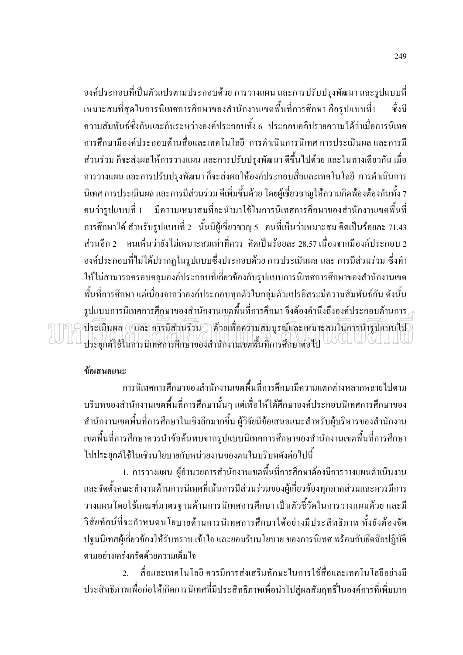้องค์ประกอบที่เป็นตัวแปรตามประกอบด้วย การวางแผน และการปรับปรุงพัฒนา และรูปแบบที่ ้เหมาะสมที่สุดในการนิเทศการศึกษาของสำนักงานเขตพื้นที่การศึกษา คือรูปแบบที่1 สั่งบี ี ความสัมพันธ์ซึ่งกันและกันระหว่างองค์ประกอบทั้ง 6 ประกอบอภิปรายความได้ว่าเมื่อการนิเทศ ึการศึกษามืองค์ประกอบด้านสื่อและเทคโนโลยี การดำเนินการนิเทศ การประเมินผล และการมี ี่ ส่วนร่วม ก็จะส่งผลให้การวางแผน และการปรับปรุงพัฒนา ดีขึ้นไปด้วย และในทางเดียวกัน เมื่อ ึการวางแผน และการปรับปรุงพัฒนา ก็จะส่งผลให้องค์ประกอบสื่อและเทคโนโลยี การคำเนินการ ้นิเทศ การประเมินผล และการมีส่วนร่วม ดีเพิ่มขึ้นด้วย โดยผู้เชี่ยวชาญให้ความคิดพ้องต้องกันทั้ง 7 คนว่ารูปแบบที่ 1 มีความเหมาสมที่จะนำมาใช้ในการนิเทศการศึกษาของสำนักงานเขตพื้นที่ ึการศึกษาได้ สำหรับรูปแบบที่ 2 นั้นมีผู้เชี่ยวชาญ 5 คนที่เห็นว่าเหมาะสม คิดเป็นร้อยละ 71.43 ี่ส่วนอีก 2 ตามเห็นว่ายังไม่เหมาะสมเท่าที่ควร คิดเป็นร้อยละ 28.57 เนื่องจากมืองค์ประกอบ 2 ้องค์ประกอบที่ไม่ได้ปรากฏในรูปแบบซึ่งประกอบด้วย การประเมินผล และ การมีส่วนร่วม ซึ่งทำ ให้ไม่สามารถครอบคลุมองค์ประกอบที่เกี่ยวข้องกับรูปแบบการนิเทศการศึกษาของสำนักงานเขต ้พื้นที่การศึกษา แต่เนื่องจากว่าองค์ประกอบทุกตัวในกลุ่มตัวแปรอิสระมีความสัมพันธ์กัน ดังนั้น รูปแบบการนิเทศการศึกษาของสำนักงานเขตพื้นที่การศึกษา จึงต้องคำนึงถึงองค์ประกอบด้านการ $\geq$ ประเมินผล ( และ การมีส่วนรวม ) ด้วยเพื่อความสมบูรณ์และเหมาะสมในการนำรูปแบบใน ประยุกต์ใช้ในการนิเทศการศึกษาของสำนักงานเขตพื้นที่การศึกษาต่อไป

### ข้อเสนอแนะ

้การนิเทศการศึกษาของสำนักงานเขตพื้นที่การศึกษามีความแตกต่างหลากหลายไปตาม ้ บริบทของสำนักงานเขตพื้นที่การศึกษานั้นๆ แต่เพื่อให้ได้ศึกษาองค์ประกอบนิเทศการศึกษาของ สำนักงานเขตพื้นที่การศึกษาในเชิงลึกมากขึ้น ผู้วิจัยมีข้อเสนอแนะสำหรับผู้บริหารของสำนักงาน ้ เขตพื้นที่การศึกษาควรนำข้อค้นพบจากรูปแบบนิเทศการศึกษาของสำนักงานเขตพื้นที่การศึกษา ไปประยกต์ใช้ในเชิงนโยบายกับหน่วยงานของตนในบริบทดังต่อไปนี้

1. การวางแผน ผู้อำนวยการสำนักงานเขตพื้นที่การศึกษาต้องมีการวางแผนดำเนินงาน และจัดตั้งคณะทำงานด้านการนิเทศที่เน้นการมีส่วนร่วมของผู้เกี่ยวข้องทุกภาคส่วนและควรมีการ วางแผนโดยใช้เกณฑ์มาตรฐานด้านการนิเทศการศึกษา เป็นตัวชี้วัดในการวางแผนด้วย และมี วิสัยทัศน์ที่จะกำหนดนโยบายด้านการนิเทศการศึกษาได้อย่างมีประสิทธิภาพ ทั้งยังต้องจัด ปฐมนิเทศผู้เกี่ยวข้องให้รับทราบ เข้าใจ และยอมรับนโยบาย ของการนิเทศ พร้อมกับยึดถือปฏิบัติ ตามอย่างเคร่งครัดด้วยความเต็มใจ

ี สื่อและเทคโนโลยี ควรมีการส่งเสริมทักษะในการใช้สื่อและเทคโนโลยีอย่างมี  $\overline{2}$ ประสิทธิภาพเพื่อก่อให้เกิดการนิเทศที่มีประสิทธิภาพเพื่อนำไปสู่ผลสัมฤทธิ์ในองค์การที่เพิ่มมาก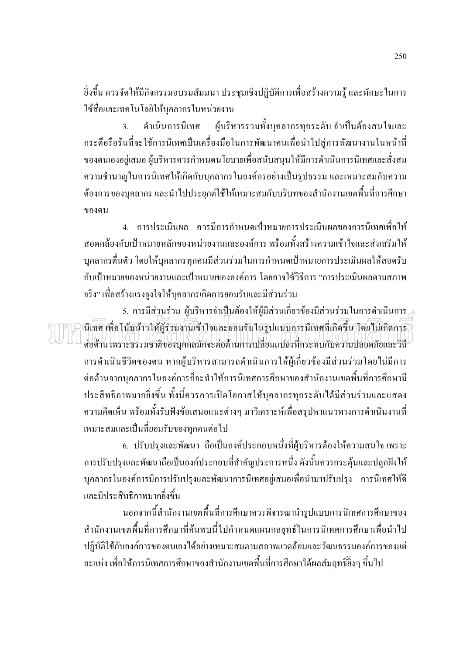้ ยิ่งขึ้น ควรจัดให้มีกิจกรรมอบรมสัมมนา ประชุมเชิงปฏิบัติการเพื่อสร้างความรู้ และทักษะในการ ใช้สื่อและเทคโนโลยีให้บุคลากรในหน่วยงาน

ผู้บริหารรวมทั้งบุคลากรทุกระดับ จำเป็นต้องสนใจและ ดำเนินการนิเทศ  $\overline{3}$ . ้กระตือรือร้นที่จะใช้การนิเทศเป็นเครื่องมือในการพัฒนาคนเพื่อนำไปสู่การพัฒนางานในหน้าที่ ี ของตนเองอยู่เสมอ ผู้บริหารควรกำหนดนโยบายเพื่อสนับสนุนให้มีการดำเนินการนิเทศและสั่งสม ความชำนาญในการนิเทศให้เกิดกับบุคลากรในองค์กรอย่างเป็นรูปธรรม และเหมาะสมกับความ ี ต้องการของบคลากร และนำไปประยกต์ใช้ให้เหมาะสมกับบริบทของสำนักงานเขตพื้นที่การศึกษา ของตบ

่ 4. การประเมินผล ควรมีการกำหนดเป้าหมายการประเมินผลของการนิเทศเพื่อให้ ี่ สอดคล้องกับเป้าหมายหลักของหน่วยงานและองค์การ พร้อมทั้งสร้างความเข้าใจและส่งเสริมให้ ิบุคลากรตื่นตัว โดยให้บุคลากรทุกคนมีส่วนร่วมในการกำหนดเป้าหมายการประเมินผลให้สอดรับ ้กับเป้าหมายของหน่วยงานและเป้าหมายขององค์การ โดยอาจใช้วิธีการ "การประเมินผลตามสภาพ ึ จริง" เพื่อสร้างแรงจูงใจให้บุคลากรเกิดการยอมรับและมีส่วนร่วม

5. การมีส่วนร่วม ผ้บริหารจำเป็นต้องให้ผ้มีส่วนเกี่ยวข้องมีส่วนร่วมในการคำเนินการ นิเทศ เพื่อโน้มน้าวให้ผู้ร่วมงานเข้าใจและยอมรับในรูปแบบการนิเทศที่เกิดขึ้น โดยไม่เกิดการ ต่อด้าน เพราะธรรมชาติของบคคลมักจะต่อด้านการเปลี่ยนแปลงที่กระทบกับความปลอดภัยและวิลี การคำเนินชีวิตของตน หากผู้บริหารสามารถคำเนินการให้ผู้เกี่ยวข้องมีส่วนร่วมโดยไม่มีการ ต่อต้านจากบุคลากรในองค์การก็จะทำให้การนิเทศการศึกษาของสำนักงานเขตพื้นที่การศึกษามี ประสิทธิภาพมากยิ่งขึ้น ทั้งนี้ควรควรเปิดโอกาสให้บุคลากรทุกระดับได้มีส่วนร่วมและแสดง ้ความคิดเห็น พร้อมทั้งรับฟังข้อเสนอแนะต่างๆ มาวิเคราะห์เพื่อสรุปหาแนวทางการดำเนินงานที่ เหมาะสมและเป็นที่ยอมรับของทุกคนต่อไป

6. ปรับปรุงและพัฒนา ถือเป็นองค์ประกอบหนึ่งที่ผู้บริหารด้องให้ความสนใจ เพราะ ึการปรับปรุงและพัฒนาถือเป็นองค์ประกอบที่สำคัญประการหนึ่ง ดังนั้นควรกระตุ้นและปลูกฝังให้ ิบุคลากรในองค์การมีการปรับปรุงและพัฒนาการนิเทศอยู่เสมอเพื่อนำมาปรับปรุง การนิเทศให้ดี และมีประสิทธิภาพมากยิ่งขึ้น

นอกจากนี้สำนักงานเขตพื้นที่การศึกษาควรพิจารณานำรูปแบบการนิเทศการศึกษาของ สำนักงานเขตพื้นที่การศึกษาที่ค้นพบนี้ไปกำหนดแผนกลยุทธ์ในการนิเทศการศึกษาเพื่อนำไป ปฏิบัติใช้กับองค์การของตนเองได้อย่างเหมาะสมตามสภาพแวดล้อมและวัฒนธรรมองค์การของแต่ ้ ละแห่ง เพื่อให้การนิเทศการศึกษาของสำนักงานเขตพื้นที่การศึกษาได้ผลสัมฤทธิ์อิ่งๆ ขึ้นไป